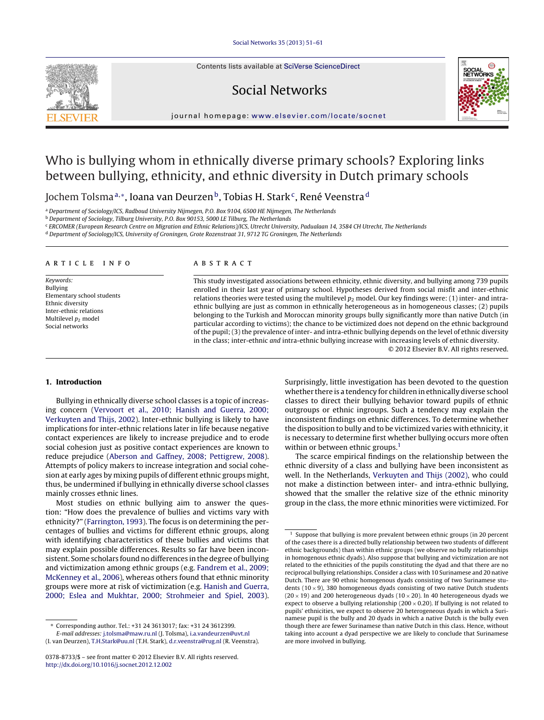Contents lists available at SciVerse [ScienceDirect](http://www.sciencedirect.com/science/journal/03788733)

# Social Networks



journal hom epage: [www.elsevier.com/locate/socnet](http://www.elsevier.com/locate/socnet)

# Who is bullying whom in ethnically diverse primary schools? Exploring links between bullying, ethnicity, and ethnic diversity in Dutch primary schools

# Jochem Tolsma<sup>a,∗</sup>, Ioana van Deurzen<sup>b</sup>, Tobias H. Stark<sup>c</sup>, René Veenstra<sup>d</sup>

<sup>a</sup> Department of Sociology/ICS, Radboud University Nijmegen, P.O. Box 9104, 6500 HE Nijmegen, The Netherlands

<sup>b</sup> Department of Sociology, Tilburg University, P.O. Box 90153, 5000 LE Tilburg, The Netherlands

<sup>c</sup> ERCOMER (European Research Centre on Migration and Ethnic Relations)/ICS, Utrecht University, Padualaan 14, 3584 CH Utrecht, The Netherlands

<sup>d</sup> Department of Sociology/ICS, University of Groningen, Grote Rozenstraat 31, 9712 TG Groningen, The Netherlands

### a r t i c l e i n f o

Keywords: Bullying Elementary school students Ethnic diversity Inter-ethnic relations Multilevel  $p_2$  model Social networks

# A B S T R A C T

This study investigated associations between ethnicity, ethnic diversity, and bullying among 739 pupils enrolled in their last year of primary school. Hypotheses derived from social misfit and inter-ethnic relations theories were tested using the multilevel  $p_2$  model. Our key findings were: (1) inter- and intraethnic bullying are just as common in ethnically heterogeneous as in homogeneous classes; (2) pupils belonging to the Turkish and Moroccan minority groups bully significantly more than native Dutch (in particular according to victims); the chance to be victimized does not depend on the ethnic background of the pupil; (3) the prevalence of inter- and intra-ethnic bullying depends on the level of ethnic diversity in the class; inter-ethnic and intra-ethnic bullying increase with increasing levels of ethnic diversity.

© 2012 Elsevier B.V. All rights reserved.

#### **1. Introduction**

Bullying in ethnically diverse school classes is a topic of increasing concern [\(Vervoort](#page-10-0) et [al.,](#page-10-0) [2010;](#page-10-0) [Hanish](#page-10-0) [and](#page-10-0) [Guerra,](#page-10-0) [2000;](#page-10-0) [Verkuyten](#page-10-0) [and](#page-10-0) [Thijs,](#page-10-0) [2002\).](#page-10-0) Inter-ethnic bullying is likely to have implications for inter-ethnic relations later in life because negative contact experiences are likely to increase prejudice and to erode social cohesion just as positive contact experiences are known to reduce prejudice ([Aberson](#page-10-0) [and](#page-10-0) [Gaffney,](#page-10-0) [2008;](#page-10-0) [Pettigrew,](#page-10-0) [2008\).](#page-10-0) Attempts of policy makers to increase integration and social cohesion at early ages by mixing pupils of different ethnic groups might, thus, be undermined if bullying in ethnically diverse school classes mainly crosses ethnic lines.

Most studies on ethnic bullying aim to answer the question: "How does the prevalence of bullies and victims vary with ethnicity?" [\(Farrington,](#page-10-0) [1993\).](#page-10-0) The focus is on determining the percentages of bullies and victims for different ethnic groups, along with identifying characteristics of these bullies and victims that may explain possible differences. Results so far have been inconsistent. Some scholars found no differences in the degree of bullying and victimization among ethnic groups (e.g. [Fandrem](#page-10-0) et [al.,](#page-10-0) [2009;](#page-10-0) [McKenney](#page-10-0) et [al.,](#page-10-0) [2006\),](#page-10-0) whereas others found that ethnic minority groups were more at risk of victimization (e.g. [Hanish](#page-10-0) [and](#page-10-0) [Guerra,](#page-10-0) [2000;](#page-10-0) [Eslea](#page-10-0) [and](#page-10-0) [Mukhtar,](#page-10-0) [2000;](#page-10-0) [Strohmeier](#page-10-0) [and](#page-10-0) [Spiel,](#page-10-0) [2003\).](#page-10-0)

Surprisingly, little investigation has been devoted to the question whether there is a tendency for children in ethnically diverse school classes to direct their bullying behavior toward pupils of ethnic outgroups or ethnic ingroups. Such a tendency may explain the inconsistent findings on ethnic differences. To determine whether the disposition to bully and to be victimized varies with ethnicity, it is necessary to determine first whether bullying occurs more often within or between ethnic groups.<sup>1</sup>

The scarce empirical findings on the relationship between the ethnic diversity of a class and bullying have been inconsistent as well. In the Netherlands, [Verkuyten](#page-10-0) [and](#page-10-0) [Thijs](#page-10-0) [\(2002\),](#page-10-0) who could not make a distinction between inter- and intra-ethnic bullying, showed that the smaller the relative size of the ethnic minority group in the class, the more ethnic minorities were victimized. For



<sup>∗</sup> Corresponding author. Tel.: +31 24 3613017; fax: +31 24 3612399.

E-mail addresses: [j.tolsma@maw.ru.nl](mailto:j.tolsma@maw.ru.nl) (J. Tolsma), [i.a.vandeurzen@uvt.nl](mailto:i.a.vandeurzen@uvt.nl) (I. van Deurzen), [T.H.Stark@uu.nl](mailto:T.H.Stark@uu.nl) (T.H. Stark), [d.r.veenstra@rug.nl](mailto:d.r.veenstra@rug.nl) (R. Veenstra).

<sup>0378-8733/\$</sup> – see front matter © 2012 Elsevier B.V. All rights reserved. [http://dx.doi.org/10.1016/j.socnet.2012.12.002](dx.doi.org/10.1016/j.socnet.2012.12.002)

<sup>&</sup>lt;sup>1</sup> Suppose that bullying is more prevalent between ethnic groups (in 20 percent of the cases there is a directed bully relationship between two students of different ethnic backgrounds) than within ethnic groups (we observe no bully relationships in homogenous ethnic dyads). Also suppose that bullying and victimization are not related to the ethnicities of the pupils constituting the dyad and that there are no reciprocal bullying relationships. Consider a class with 10 Surinamese and 20 native Dutch. There are 90 ethnic homogenous dyads consisting of two Surinamese students  $(10 \times 9)$ , 380 homogeneous dyads consisting of two native Dutch students  $(20 \times 19)$  and 200 heterogeneous dyads  $(10 \times 20)$ . In 40 heterogeneous dyads we expect to observe a bullying relationship (200  $\times$  0.20). If bullying is not related to pupils' ethnicities, we expect to observe 20 heterogeneous dyads in which a Surinamese pupil is the bully and 20 dyads in which a native Dutch is the bully even though there are fewer Surinamese than native Dutch in this class. Hence, without taking into account a dyad perspective we are likely to conclude that Surinamese are more involved in bullying.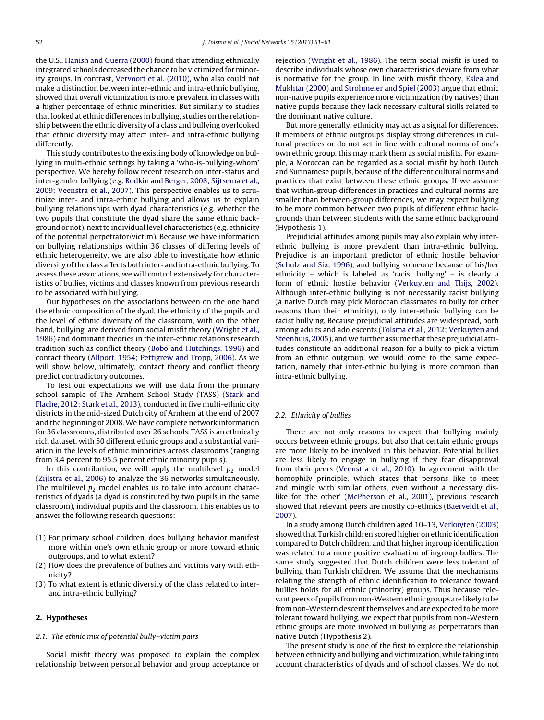the U.S., [Hanish](#page-10-0) [and](#page-10-0) [Guerra](#page-10-0) [\(2000\)](#page-10-0) found that attending ethnically integrated schools decreased the chance to be victimized for minority groups. In contrast, [Vervoort](#page-10-0) et [al.](#page-10-0) [\(2010\),](#page-10-0) who also could not make a distinction between inter-ethnic and intra-ethnic bullying, showed that overall victimization is more prevalent in classes with a higher percentage of ethnic minorities. But similarly to studies that looked at ethnic differences in bullying, studies on the relationship between the ethnic diversity of a class and bullying overlooked that ethnic diversity may affect inter- and intra-ethnic bullying differently.

This study contributes to the existing body of knowledge on bullying in multi-ethnic settings by taking a 'who-is-bullying-whom' perspective. We hereby follow recent research on inter-status and inter-gender bullying (e.g. [Rodkin](#page-10-0) [and](#page-10-0) [Berger,](#page-10-0) [2008;](#page-10-0) [Sijtsema](#page-10-0) et [al.,](#page-10-0) [2009;](#page-10-0) [Veenstra](#page-10-0) et [al.,](#page-10-0) [2007\).](#page-10-0) This perspective enables us to scrutinize inter- and intra-ethnic bullying and allows us to explain bullying relationships with dyad characteristics (e.g. whether the two pupils that constitute the dyad share the same ethnic background or not), next to individual level characteristics (e.g. ethnicity of the potential perpetrator/victim). Because we have information on bullying relationships within 36 classes of differing levels of ethnic heterogeneity, we are also able to investigate how ethnic diversity of the class affects both inter- and intra-ethnic bullying. To assess these associations, we will control extensively for characteristics of bullies, victims and classes known from previous research to be associated with bullying.

Our hypotheses on the associations between on the one hand the ethnic composition of the dyad, the ethnicity of the pupils and the level of ethnic diversity of the classroom, with on the other hand, bullying, are derived from social misfit theory [\(Wright](#page-10-0) et [al.,](#page-10-0) [1986\)](#page-10-0) and dominant theories in the inter-ethnic relations research tradition such as conflict theory ([Bobo](#page-10-0) [and](#page-10-0) [Hutchings,](#page-10-0) [1996\)](#page-10-0) and contact theory ([Allport,](#page-10-0) [1954;](#page-10-0) [Pettigrew](#page-10-0) [and](#page-10-0) [Tropp,](#page-10-0) [2006\).](#page-10-0) As we will show below, ultimately, contact theory and conflict theory predict contradictory outcomes.

To test our expectations we will use data from the primary school sample of The Arnhem School Study (TASS) [\(Stark](#page-10-0) [and](#page-10-0) [Flache,](#page-10-0) [2012;](#page-10-0) [Stark](#page-10-0) et [al.,](#page-10-0) [2013\),](#page-10-0) conducted in five multi-ethnic city districts in the mid-sized Dutch city of Arnhem at the end of 2007 and the beginning of 2008. We have complete network information for 36 classrooms, distributed over 26 schools. TASS is an ethnically rich dataset, with 50 different ethnic groups and a substantial variation in the levels of ethnic minorities across classrooms (ranging from 3.4 percent to 95.5 percent ethnic minority pupils).

In this contribution, we will apply the multilevel  $p_2$  model ([Zijlstra](#page-10-0) et [al.,](#page-10-0) [2006\)](#page-10-0) to analyze the 36 networks simultaneously. The multilevel  $p_2$  model enables us to take into account characteristics of dyads (a dyad is constituted by two pupils in the same classroom), individual pupils and the classroom. This enables us to answer the following research questions:

- (1) For primary school children, does bullying behavior manifest more within one's own ethnic group or more toward ethnic outgroups, and to what extent?
- (2) How does the prevalence of bullies and victims vary with ethnicity?
- (3) To what extent is ethnic diversity of the class related to interand intra-ethnic bullying?

# **2. Hypotheses**

## 2.1. The ethnic mix of potential bully–victim pairs

Social misfit theory was proposed to explain the complex relationship between personal behavior and group acceptance or rejection ([Wright](#page-10-0) et [al.,](#page-10-0) [1986\).](#page-10-0) The term social misfit is used to describe individuals whose own characteristics deviate from what is normative for the group. In line with misfit theory, [Eslea](#page-10-0) [and](#page-10-0) [Mukhtar](#page-10-0) [\(2000\)](#page-10-0) and [Strohmeier](#page-10-0) [and](#page-10-0) [Spiel](#page-10-0) [\(2003\)](#page-10-0) argue that ethnic non-native pupils experience more victimization (by natives) than native pupils because they lack necessary cultural skills related to the dominant native culture.

But more generally, ethnicity may act as a signal for differences. If members of ethnic outgroups display strong differences in cultural practices or do not act in line with cultural norms of one's own ethnic group, this may mark them as social misfits. For example, a Moroccan can be regarded as a social misfit by both Dutch and Surinamese pupils, because of the different cultural norms and practices that exist between these ethnic groups. If we assume that within-group differences in practices and cultural norms are smaller than between-group differences, we may expect bullying to be more common between two pupils of different ethnic backgrounds than between students with the same ethnic background (Hypothesis 1).

Prejudicial attitudes among pupils may also explain why interethnic bullying is more prevalent than intra-ethnic bullying. Prejudice is an important predictor of ethnic hostile behavior [\(Schulz](#page-10-0) [and](#page-10-0) [Six,](#page-10-0) [1996\),](#page-10-0) and bullying someone because of his/her ethnicity – which is labeled as 'racist bullying' – is clearly a form of ethnic hostile behavior [\(Verkuyten](#page-10-0) [and](#page-10-0) [Thijs,](#page-10-0) [2002\).](#page-10-0) Although inter-ethnic bullying is not necessarily racist bullying (a native Dutch may pick Moroccan classmates to bully for other reasons than their ethnicity), only inter-ethnic bullying can be racist bullying. Because prejudicial attitudes are widespread, both among adults and adolescents [\(Tolsma](#page-10-0) et [al.,](#page-10-0) [2012;](#page-10-0) [Verkuyten](#page-10-0) [and](#page-10-0) [Steenhuis,](#page-10-0) [2005\),](#page-10-0) and we further assume that these prejudicial attitudes constitute an additional reason for a bully to pick a victim from an ethnic outgroup, we would come to the same expectation, namely that inter-ethnic bullying is more common than intra-ethnic bullying.

#### 2.2. Ethnicity of bullies

There are not only reasons to expect that bullying mainly occurs between ethnic groups, but also that certain ethnic groups are more likely to be involved in this behavior. Potential bullies are less likely to engage in bullying if they fear disapproval from their peers ([Veenstra](#page-10-0) et [al.,](#page-10-0) [2010\).](#page-10-0) In agreement with the homophily principle, which states that persons like to meet and mingle with similar others, even without a necessary dislike for 'the other' [\(McPherson](#page-10-0) et [al.,](#page-10-0) [2001\),](#page-10-0) previous research showed that relevant peers are mostly co-ethnics [\(Baerveldt](#page-10-0) et [al.,](#page-10-0) [2007\).](#page-10-0)

In a study among Dutch children aged 10–13, [Verkuyten](#page-10-0) [\(2003\)](#page-10-0) showed that Turkish children scored higher on ethnic identification compared to Dutch children, and that higher ingroup identification was related to a more positive evaluation of ingroup bullies. The same study suggested that Dutch children were less tolerant of bullying than Turkish children. We assume that the mechanisms relating the strength of ethnic identification to tolerance toward bullies holds for all ethnic (minority) groups. Thus because relevant peers of pupils from non-Western ethnic groups are likely to be from non-Western descent themselves and are expected to be more tolerant toward bullying, we expect that pupils from non-Western ethnic groups are more involved in bullying as perpetrators than native Dutch (Hypothesis 2).

The present study is one of the first to explore the relationship between ethnicity and bullying and victimization, while taking into account characteristics of dyads and of school classes. We do not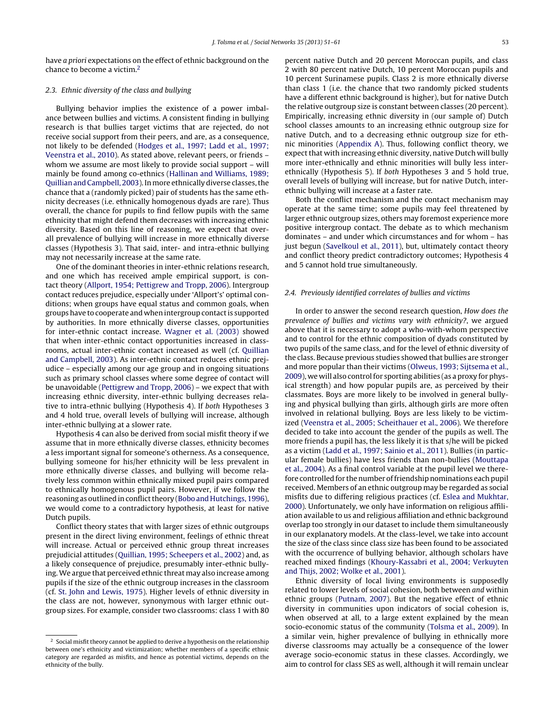have a priori expectations on the effect of ethnic background on the chance to become a victim.2

# 2.3. Ethnic diversity of the class and bullying

Bullying behavior implies the existence of a power imbalance between bullies and victims. A consistent finding in bullying research is that bullies target victims that are rejected, do not receive social support from their peers, and are, as a consequence, not likely to be defended ([Hodges](#page-10-0) et [al.,](#page-10-0) [1997;](#page-10-0) [Ladd](#page-10-0) et [al.,](#page-10-0) [1997;](#page-10-0) [Veenstra](#page-10-0) et [al.,](#page-10-0) [2010\).](#page-10-0) As stated above, relevant peers, or friends – whom we assume are most likely to provide social support – will mainly be found among co-ethnics [\(Hallinan](#page-10-0) [and](#page-10-0) [Williams,](#page-10-0) [1989;](#page-10-0) Quillian and Campbell, [2003\).](#page-10-0) In more ethnically diverse classes, the chance that a (randomly picked) pair of students has the same ethnicity decreases (i.e. ethnically homogenous dyads are rare). Thus overall, the chance for pupils to find fellow pupils with the same ethnicity that might defend them decreases with increasing ethnic diversity. Based on this line of reasoning, we expect that overall prevalence of bullying will increase in more ethnically diverse classes (Hypothesis 3). That said, inter- and intra-ethnic bullying may not necessarily increase at the same rate.

One of the dominant theories in inter-ethnic relations research, and one which has received ample empirical support, is contact theory ([Allport,](#page-10-0) [1954;](#page-10-0) [Pettigrew](#page-10-0) [and](#page-10-0) [Tropp,](#page-10-0) [2006\).](#page-10-0) Intergroup contact reduces prejudice, especially under 'Allport's' optimal conditions; when groups have equal status and common goals, when groups have to cooperate and when intergroup contactis supported by authorities. In more ethnically diverse classes, opportunities for inter-ethnic contact increase. [Wagner](#page-10-0) et [al.](#page-10-0) [\(2003\)](#page-10-0) showed that when inter-ethnic contact opportunities increased in classrooms, actual inter-ethnic contact increased as well (cf. [Quillian](#page-10-0) [and](#page-10-0) [Campbell,](#page-10-0) [2003\).](#page-10-0) As inter-ethnic contact reduces ethnic prejudice – especially among our age group and in ongoing situations such as primary school classes where some degree of contact will be unavoidable ([Pettigrew](#page-10-0) [and](#page-10-0) [Tropp,](#page-10-0) [2006\)](#page-10-0) – we expect that with increasing ethnic diversity, inter-ethnic bullying decreases relative to intra-ethnic bullying (Hypothesis 4). If both Hypotheses 3 and 4 hold true, overall levels of bullying will increase, although inter-ethnic bullying at a slower rate.

Hypothesis 4 can also be derived from social misfit theory if we assume that in more ethnically diverse classes, ethnicity becomes a less important signal for someone's otherness. As a consequence, bullying someone for his/her ethnicity will be less prevalent in more ethnically diverse classes, and bullying will become relatively less common within ethnically mixed pupil pairs compared to ethnically homogenous pupil pairs. However, if we follow the reasoning as outlined in conflict theory ([Bobo](#page-10-0) [and](#page-10-0) [Hutchings,](#page-10-0) [1996\),](#page-10-0) we would come to a contradictory hypothesis, at least for native Dutch pupils.

Conflict theory states that with larger sizes of ethnic outgroups present in the direct living environment, feelings of ethnic threat will increase. Actual or perceived ethnic group threat increases prejudicial attitudes [\(Quillian,](#page-10-0) [1995;](#page-10-0) [Scheepers](#page-10-0) et [al.,](#page-10-0) [2002\)](#page-10-0) and, as a likely consequence of prejudice, presumably inter-ethnic bullying.We argue that perceived ethnic threat may also increase among pupils if the size of the ethnic outgroup increases in the classroom (cf. [St.](#page-10-0) [John](#page-10-0) [and](#page-10-0) [Lewis,](#page-10-0) [1975\).](#page-10-0) Higher levels of ethnic diversity in the class are not, however, synonymous with larger ethnic outgroup sizes. For example, consider two classrooms: class 1 with 80

percent native Dutch and 20 percent Moroccan pupils, and class 2 with 80 percent native Dutch, 10 percent Moroccan pupils and 10 percent Surinamese pupils. Class 2 is more ethnically diverse than class 1 (i.e. the chance that two randomly picked students have a different ethnic background is higher), but for native Dutch the relative outgroup size is constant between classes (20 percent). Empirically, increasing ethnic diversity in (our sample of) Dutch school classes amounts to an increasing ethnic outgroup size for native Dutch, and to a decreasing ethnic outgroup size for ethnic minorities ([Appendix](#page-9-0) [A\).](#page-9-0) Thus, following conflict theory, we expect that with increasing ethnic diversity, native Dutch will bully more inter-ethnically and ethnic minorities will bully less interethnically (Hypothesis 5). If both Hypotheses 3 and 5 hold true, overall levels of bullying will increase, but for native Dutch, interethnic bullying will increase at a faster rate.

Both the conflict mechanism and the contact mechanism may operate at the same time; some pupils may feel threatened by larger ethnic outgroup sizes, others may foremost experience more positive intergroup contact. The debate as to which mechanism dominates – and under which circumstances and for whom – has just begun ([Savelkoul](#page-10-0) et [al.,](#page-10-0) [2011\),](#page-10-0) but, ultimately contact theory and conflict theory predict contradictory outcomes; Hypothesis 4 and 5 cannot hold true simultaneously.

#### 2.4. Previously identified correlates of bullies and victims

In order to answer the second research question, How does the prevalence of bullies and victims vary with ethnicity?, we argued above that it is necessary to adopt a who-with-whom perspective and to control for the ethnic composition of dyads constituted by two pupils of the same class, and for the level of ethnic diversity of the class. Because previous studies showed that bullies are stronger and more popular than their victims ([Olweus,](#page-10-0) [1993;](#page-10-0) [Sijtsema](#page-10-0) et [al.,](#page-10-0) [2009\),](#page-10-0) we will also control for sporting abilities (as a proxy for physical strength) and how popular pupils are, as perceived by their classmates. Boys are more likely to be involved in general bullying and physical bullying than girls, although girls are more often involved in relational bullying. Boys are less likely to be victimized [\(Veenstra](#page-10-0) et [al.,](#page-10-0) [2005;](#page-10-0) [Scheithauer](#page-10-0) et [al.,](#page-10-0) [2006\).](#page-10-0) We therefore decided to take into account the gender of the pupils as well. The more friends a pupil has, the less likely it is that s/he will be picked as a victim ([Ladd](#page-10-0) et [al.,](#page-10-0) [1997;](#page-10-0) [Sainio](#page-10-0) et [al.,](#page-10-0) [2011\).](#page-10-0) Bullies (in particular female bullies) have less friends than non-bullies ([Mouttapa](#page-10-0) et [al.,](#page-10-0) [2004\).](#page-10-0) As a final control variable at the pupil level we therefore controlled for the number offriendship nominations each pupil received. Members of an ethnic outgroup may be regarded as social misfits due to differing religious practices (cf. [Eslea](#page-10-0) [and](#page-10-0) [Mukhtar,](#page-10-0) [2000\).](#page-10-0) Unfortunately, we only have information on religious affiliation available to us and religious affiliation and ethnic background overlap too strongly in our dataset to include them simultaneously in our explanatory models. At the class-level, we take into account the size of the class since class size has been found to be associated with the occurrence of bullying behavior, although scholars have reached mixed findings ([Khoury-Kassabri](#page-10-0) et [al.,](#page-10-0) [2004;](#page-10-0) [Verkuyten](#page-10-0) [and](#page-10-0) [Thijs,](#page-10-0) [2002;](#page-10-0) [Wolke](#page-10-0) et [al.,](#page-10-0) [2001\).](#page-10-0)

Ethnic diversity of local living environments is supposedly related to lower levels of social cohesion, both between and within ethnic groups [\(Putnam,](#page-10-0) [2007\).](#page-10-0) But the negative effect of ethnic diversity in communities upon indicators of social cohesion is, when observed at all, to a large extent explained by the mean socio-economic status of the community ([Tolsma](#page-10-0) et [al.,](#page-10-0) [2009\).](#page-10-0) In a similar vein, higher prevalence of bullying in ethnically more diverse classrooms may actually be a consequence of the lower average socio-economic status in these classes. Accordingly, we aim to control for class SES as well, although it will remain unclear

 $2\,$  Social misfit theory cannot be applied to derive a hypothesis on the relationship between one's ethnicity and victimization; whether members of a specific ethnic category are regarded as misfits, and hence as potential victims, depends on the ethnicity of the bully.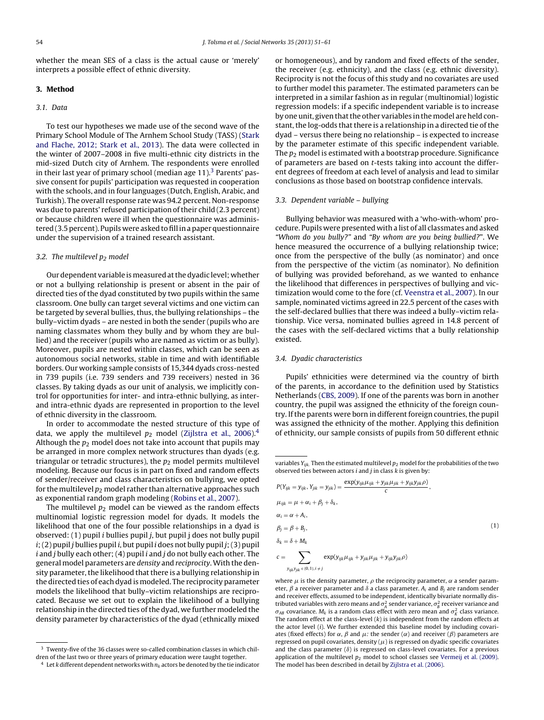whether the mean SES of a class is the actual cause or 'merely' interprets a possible effect of ethnic diversity.

#### **3. Method**

# 3.1. Data

To test our hypotheses we made use of the second wave of the Primary School Module of The Arnhem School Study (TASS) ([Stark](#page-10-0) [and](#page-10-0) [Flache,](#page-10-0) [2012;](#page-10-0) [Stark](#page-10-0) et [al.,](#page-10-0) [2013\).](#page-10-0) The data were collected in the winter of 2007–2008 in five multi-ethnic city districts in the mid-sized Dutch city of Arnhem. The respondents were enrolled in their last year of primary school (median age  $11$ ).<sup>3</sup> Parents' passive consent for pupils' participation was requested in cooperation with the schools, and in four languages (Dutch, English, Arabic, and Turkish). The overall response rate was 94.2 percent. Non-response was due to parents' refused participation of their child (2.3 percent) or because children were ill when the questionnaire was administered (3.5 percent). Pupils were asked to fill in a paper questionnaire under the supervision of a trained research assistant.

#### 3.2. The multilevel  $p_2$  model

Our dependent variable ismeasured atthe dyadic level; whether or not a bullying relationship is present or absent in the pair of directed ties of the dyad constituted by two pupils within the same classroom. One bully can target several victims and one victim can be targeted by several bullies, thus, the bullying relationships – the bully–victim dyads – are nested in both the sender (pupils who are naming classmates whom they bully and by whom they are bullied) and the receiver (pupils who are named as victim or as bully). Moreover, pupils are nested within classes, which can be seen as autonomous social networks, stable in time and with identifiable borders. Our working sample consists of 15,344 dyads cross-nested in 739 pupils (i.e. 739 senders and 739 receivers) nested in 36 classes. By taking dyads as our unit of analysis, we implicitly control for opportunities for inter- and intra-ethnic bullying, as interand intra-ethnic dyads are represented in proportion to the level of ethnic diversity in the classroom.

In order to accommodate the nested structure of this type of data, we apply the multilevel  $p_2$  model [\(Zijlstra](#page-10-0) et [al.,](#page-10-0) [2006\).](#page-10-0)<sup>4</sup> Although the  $p_2$  model does not take into account that pupils may be arranged in more complex network structures than dyads (e.g. triangular or tetradic structures), the  $p_2$  model permits multilevel modeling. Because our focus is in part on fixed and random effects of sender/receiver and class characteristics on bullying, we opted for the multilevel  $p_2$  model rather than alternative approaches such as exponential random graph modeling [\(Robins](#page-10-0) et [al.,](#page-10-0) [2007\).](#page-10-0)

The multilevel  $p_2$  model can be viewed as the random effects multinomial logistic regression model for dyads. It models the likelihood that one of the four possible relationships in a dyad is observed: (1) pupil i bullies pupil j, but pupil j does not bully pupil  $i$ ; (2) pupil *j* bullies pupil *i*, but pupil *i* does not bully pupil *j*; (3) pupil  $i$  and  $j$  bully each other; (4) pupil  $i$  and  $j$  do not bully each other. The general model parameters are density and reciprocity.With the density parameter, the likelihood that there is a bullying relationship in the directed ties of each dyad is modeled. The reciprocity parameter models the likelihood that bully–victim relationships are reciprocated. Because we set out to explain the likelihood of a bullying relationship in the directed ties ofthe dyad, we further modeled the density parameter by characteristics of the dyad (ethnically mixed

or homogeneous), and by random and fixed effects of the sender, the receiver (e.g. ethnicity), and the class (e.g. ethnic diversity). Reciprocity is not the focus of this study and no covariates are used to further model this parameter. The estimated parameters can be interpreted in a similar fashion as in regular (multinomial) logistic regression models: if a specific independent variable is to increase by one unit, given that the other variables in the model are held constant, the log-odds that there is a relationship in a directed tie of the dyad – versus there being no relationship – is expected to increase by the parameter estimate of this specific independent variable. The  $p_2$  model is estimated with a bootstrap procedure. Significance of parameters are based on t-tests taking into account the different degrees of freedom at each level of analysis and lead to similar conclusions as those based on bootstrap confidence intervals.

# 3.3. Dependent variable – bullying

Bullying behavior was measured with a 'who-with-whom' procedure. Pupils were presented with a list of all classmates and asked "Whom do you bully?" and "By whom are you being bullied?". We hence measured the occurrence of a bullying relationship twice; once from the perspective of the bully (as nominator) and once from the perspective of the victim (as nominator). No definition of bullying was provided beforehand, as we wanted to enhance the likelihood that differences in perspectives of bullying and victimization would come to the fore (cf. [Veenstra](#page-10-0) et [al.,](#page-10-0) [2007\).](#page-10-0) In our sample, nominated victims agreed in 22.5 percent of the cases with the self-declared bullies that there was indeed a bully–victim relationship. Vice versa, nominated bullies agreed in 14.8 percent of the cases with the self-declared victims that a bully relationship existed.

# 3.4. Dyadic characteristics

Pupils' ethnicities were determined via the country of birth of the parents, in accordance to the definition used by Statistics Netherlands [\(CBS,](#page-10-0) [2009\).](#page-10-0) If one of the parents was born in another country, the pupil was assigned the ethnicity of the foreign country. If the parents were born in different foreign countries, the pupil was assigned the ethnicity of the mother. Applying this definition of ethnicity, our sample consists of pupils from 50 different ethnic

$$
P(Y_{ijk} = y_{ijk}, Y_{jik} = y_{jik}) = \frac{\exp(y_{ijk}\mu_{ijk} + y_{jik}\mu_{jik} + y_{ijk}y_{jik}\rho)}{c},
$$
  
\n
$$
\mu_{ijk} = \mu + \alpha_i + \beta_j + \delta_k,
$$
  
\n
$$
\alpha_i = \alpha + A_i,
$$
  
\n
$$
\beta_j = \beta + B_j,
$$
  
\n
$$
\delta_k = \delta + M_k
$$
  
\n
$$
c = \sum_{y_{ijk}y_{ijk} \in [0,1], i \neq j} \exp(y_{ijk}\mu_{ijk} + y_{jik}\mu_{jik} + y_{ijk}y_{jik}\rho)
$$
  
\n(1)

where  $\mu$  is the density parameter,  $\rho$  the reciprocity parameter,  $\alpha$  a sender parameter,  $\beta$  a receiver parameter and  $\delta$  a class parameter.  $A_i$  and  $B_j$  are random sender and receiver effects, assumed to be independent, identically bivariate normally distributed variables with zero means and  $\sigma_A^2$  sender variance,  $\sigma_B^2$  receiver variance and  $\sigma_{AB}$  covariance.  $M_k$  is a random class effect with zero mean and  $\sigma^2_K$  class variance. The random effect at the class-level  $(k)$  is independent from the random effects at the actor level  $(i)$ . We further extended this baseline model by including covariates (fixed effects) for  $\alpha$ ,  $\beta$  and  $\mu$ : the sender ( $\alpha$ ) and receiver ( $\beta$ ) parameters are regressed on pupil covariates, density ( $\mu$ ) is regressed on dyadic specific covariates and the class parameter  $(\delta)$  is regressed on class-level covariates. For a previous application of the multilevel  $p_2$  model to school classes see [Vermeij](#page-10-0) et [al.](#page-10-0) [\(2009\).](#page-10-0) The model has been described in detail by [Zijlstra](#page-10-0) et [al.](#page-10-0) [\(2006\).](#page-10-0)

<sup>&</sup>lt;sup>3</sup> Twenty-five of the 36 classes were so-called combination classes in which children of the last two or three years of primary education were taught together.

<sup>&</sup>lt;sup>4</sup> Let k different dependent networks with  $n_k$  actors be denoted by the tie indicator

variables  $Y_{ijk}$ . Then the estimated multilevel  $p_2$  model for the probabilities of the two observed ties between actors  $i$  and  $i$  in class  $k$  is given by: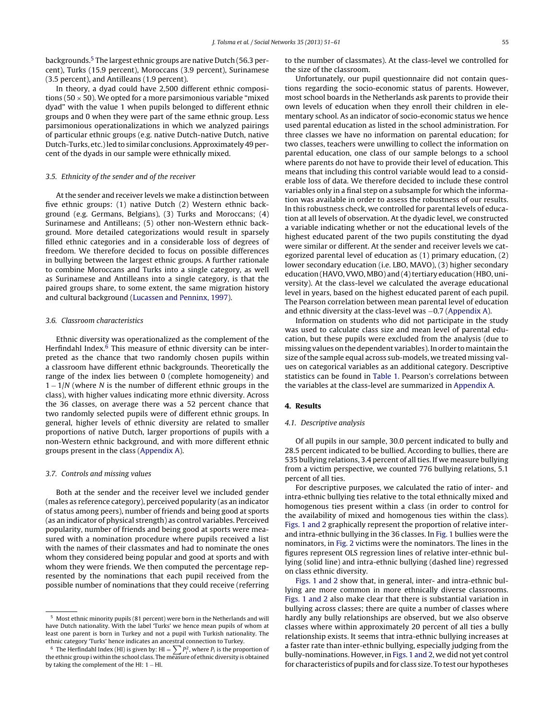backgrounds.5 The largest ethnic groups are native Dutch (56.3 percent), Turks (15.9 percent), Moroccans (3.9 percent), Surinamese (3.5 percent), and Antilleans (1.9 percent).

In theory, a dyad could have 2,500 different ethnic compositions (50  $\times$  50). We opted for a more parsimonious variable "mixed dyad" with the value 1 when pupils belonged to different ethnic groups and 0 when they were part of the same ethnic group. Less parsimonious operationalizations in which we analyzed pairings of particular ethnic groups (e.g. native Dutch-native Dutch, native Dutch-Turks, etc.)led to similar conclusions.Approximately 49 percent of the dyads in our sample were ethnically mixed.

#### 3.5. Ethnicity of the sender and of the receiver

Atthe sender and receiver levels we make a distinction between five ethnic groups: (1) native Dutch (2) Western ethnic background (e.g. Germans, Belgians), (3) Turks and Moroccans; (4) Surinamese and Antilleans; (5) other non-Western ethnic background. More detailed categorizations would result in sparsely filled ethnic categories and in a considerable loss of degrees of freedom. We therefore decided to focus on possible differences in bullying between the largest ethnic groups. A further rationale to combine Moroccans and Turks into a single category, as well as Surinamese and Antilleans into a single category, is that the paired groups share, to some extent, the same migration history and cultural background [\(Lucassen](#page-10-0) [and](#page-10-0) [Penninx,](#page-10-0) [1997\).](#page-10-0)

#### 3.6. Classroom characteristics

Ethnic diversity was operationalized as the complement of the Herfindahl Index. $6$  This measure of ethnic diversity can be interpreted as the chance that two randomly chosen pupils within a classroom have different ethnic backgrounds. Theoretically the range of the index lies between 0 (complete homogeneity) and  $1 - 1/N$  (where N is the number of different ethnic groups in the class), with higher values indicating more ethnic diversity. Across the 36 classes, on average there was a 52 percent chance that two randomly selected pupils were of different ethnic groups. In general, higher levels of ethnic diversity are related to smaller proportions of native Dutch, larger proportions of pupils with a non-Western ethnic background, and with more different ethnic groups present in the class [\(Appendix](#page-9-0) [A\).](#page-9-0)

### 3.7. Controls and missing values

Both at the sender and the receiver level we included gender (males as reference category), perceived popularity (as an indicator of status among peers), number of friends and being good at sports (as an indicator of physical strength) as control variables. Perceived popularity, number of friends and being good at sports were measured with a nomination procedure where pupils received a list with the names of their classmates and had to nominate the ones whom they considered being popular and good at sports and with whom they were friends. We then computed the percentage represented by the nominations that each pupil received from the possible number of nominations that they could receive (referring to the number of classmates). At the class-level we controlled for the size of the classroom.

Unfortunately, our pupil questionnaire did not contain questions regarding the socio-economic status of parents. However, most school boards in the Netherlands ask parents to provide their own levels of education when they enroll their children in elementary school. As an indicator of socio-economic status we hence used parental education as listed in the school administration. For three classes we have no information on parental education; for two classes, teachers were unwilling to collect the information on parental education, one class of our sample belongs to a school where parents do not have to provide their level of education. This means that including this control variable would lead to a considerable loss of data. We therefore decided to include these control variables only in a final step on a subsample for which the information was available in order to assess the robustness of our results. In this robustness check, we controlled for parental levels of education at all levels of observation. At the dyadic level, we constructed a variable indicating whether or not the educational levels of the highest educated parent of the two pupils constituting the dyad were similar or different. At the sender and receiver levels we categorized parental level of education as (1) primary education, (2) lower secondary education (i.e. LBO, MAVO), (3) higher secondary education (HAVO, VWO, MBO) and (4) tertiary education (HBO, university). At the class-level we calculated the average educational level in years, based on the highest educated parent of each pupil. The Pearson correlation between mean parental level of education and ethnic diversity at the class-level was −0.7 ([Appendix](#page-9-0) [A\).](#page-9-0)

Information on students who did not participate in the study was used to calculate class size and mean level of parental education, but these pupils were excluded from the analysis (due to missing values onthedependent variables).Inorder tomaintainthe size of the sample equal across sub-models, we treated missing values on categorical variables as an additional category. Descriptive statistics can be found in [Table](#page-5-0) 1. Pearson's correlations between the variables at the class-level are summarized in [Appendix](#page-9-0) [A.](#page-9-0)

#### **4. Results**

# 4.1. Descriptive analysis

Of all pupils in our sample, 30.0 percent indicated to bully and 28.5 percent indicated to be bullied. According to bullies, there are 535 bullying relations, 3.4 percent of all ties. If we measure bullying from a victim perspective, we counted 776 bullying relations, 5.1 percent of all ties.

For descriptive purposes, we calculated the ratio of inter- and intra-ethnic bullying ties relative to the total ethnically mixed and homogenous ties present within a class (in order to control for the availability of mixed and homogenous ties within the class). [Figs.](#page-5-0) 1 and 2 graphically represent the proportion of relative interand intra-ethnic bullying in the 36 classes. In [Fig.](#page-5-0) 1 bullies were the nominators, in [Fig.](#page-5-0) 2 victims were the nominators. The lines in the figures represent OLS regression lines of relative inter-ethnic bullying (solid line) and intra-ethnic bullying (dashed line) regressed on class ethnic diversity.

[Figs.](#page-5-0) 1 and 2 show that, in general, inter- and intra-ethnic bullying are more common in more ethnically diverse classrooms. [Figs.](#page-5-0) 1 and 2 also make clear that there is substantial variation in bullying across classes; there are quite a number of classes where hardly any bully relationships are observed, but we also observe classes where within approximately 20 percent of all ties a bully relationship exists. It seems that intra-ethnic bullying increases at a faster rate than inter-ethnic bullying, especially judging from the bully-nominations. However, in [Figs.](#page-5-0) 1 and 2, we did not yet control for characteristics of pupils and for class size. To test our hypotheses

<sup>5</sup> Most ethnic minority pupils (81 percent) were born in the Netherlands and will have Dutch nationality. With the label 'Turks' we hence mean pupils of whom at least one parent is born in Turkey and not a pupil with Turkish nationality. The ethnic category 'Turks' hence indicates an ancestral connection to Turkey.

<sup>&</sup>lt;sup>6</sup> The Herfindahl Index (HI) is given by: HI =  $\sum P_i^2$ , where  $P_i$  is the proportion of the ethnic group i within the school class. The measure of ethnic diversity is obtained by taking the complement of the HI: 1 − HI.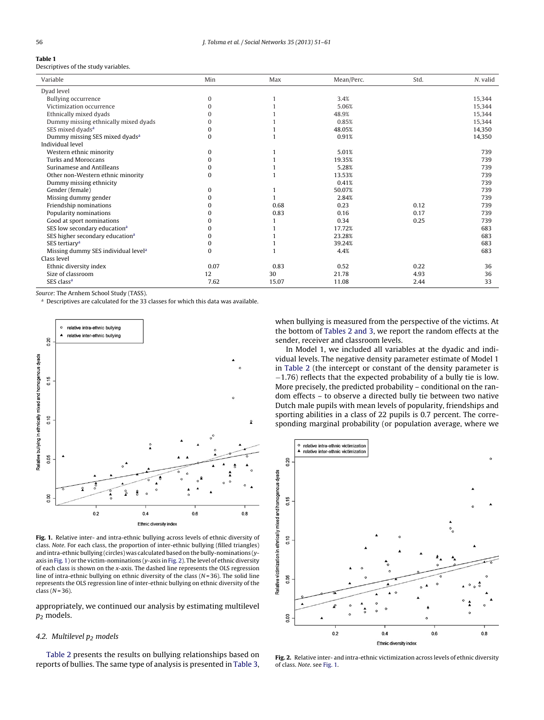# <span id="page-5-0"></span>**Table 1**

Descriptives of the study variables.

| Variable                                        | Min      | Max   | Mean/Perc. | Std. | N. valid |
|-------------------------------------------------|----------|-------|------------|------|----------|
| Dyad level                                      |          |       |            |      |          |
| <b>Bullying occurrence</b>                      | $\Omega$ |       | 3.4%       |      | 15,344   |
| Victimization occurrence                        |          |       | 5.06%      |      | 15,344   |
| Ethnically mixed dyads                          |          |       | 48.9%      |      | 15,344   |
| Dummy missing ethnically mixed dyads            |          |       | 0.85%      |      | 15,344   |
| SES mixed dyads <sup>a</sup>                    |          |       | 48.05%     |      | 14,350   |
| Dummy missing SES mixed dyads <sup>a</sup>      |          |       | 0.91%      |      | 14,350   |
| Individual level                                |          |       |            |      |          |
| Western ethnic minority                         | 0        |       | 5.01%      |      | 739      |
| <b>Turks and Moroccans</b>                      |          |       | 19.35%     |      | 739      |
| Surinamese and Antilleans                       |          |       | 5.28%      |      | 739      |
| Other non-Western ethnic minority               | 0        |       | 13.53%     |      | 739      |
| Dummy missing ethnicity                         |          |       | 0.41%      |      | 739      |
| Gender (female)                                 |          |       | 50.07%     |      | 739      |
| Missing dummy gender                            |          |       | 2.84%      |      | 739      |
| Friendship nominations                          |          | 0.68  | 0.23       | 0.12 | 739      |
| Popularity nominations                          |          | 0.83  | 0.16       | 0.17 | 739      |
| Good at sport nominations                       |          |       | 0.34       | 0.25 | 739      |
| SES low secondary education <sup>a</sup>        |          |       | 17.72%     |      | 683      |
| SES higher secondary education <sup>a</sup>     |          |       | 23.28%     |      | 683      |
| SES tertiary <sup>a</sup>                       | o        |       | 39.24%     |      | 683      |
| Missing dummy SES individual level <sup>a</sup> | $\Omega$ |       | 4.4%       |      | 683      |
| Class level                                     |          |       |            |      |          |
| Ethnic diversity index                          | 0.07     | 0.83  | 0.52       | 0.22 | 36       |
| Size of classroom                               | 12       | 30    | 21.78      | 4.93 | 36       |
| SES class <sup>a</sup>                          | 7.62     | 15.07 | 11.08      | 2.44 | 33       |

Source: The Arnhem School Study (TASS).

<sup>a</sup> Descriptives are calculated for the 33 classes for which this data was available.



**Fig. 1.** Relative inter- and intra-ethnic bullying across levels of ethnic diversity of class. Note. For each class, the proportion of inter-ethnic bullying (filled triangles) and intra-ethnic bullying (circles) was calculated based on the bully-nominations (yaxis in Fig. 1) or the victim-nominations (y-axis in Fig. 2). The level of ethnic diversity of each class is shown on the x-axis. The dashed line represents the OLS regression line of intra-ethnic bullying on ethnic diversity of the class ( $N = 36$ ). The solid line represents the OLS regression line of inter-ethnic bullying on ethnic diversity of the class  $(N = 36)$ .

appropriately, we continued our analysis by estimating multilevel  $p_2$  models.

# 4.2. Multilevel  $p_2$  models

[Table](#page-6-0) 2 presents the results on bullying relationships based on reports of bullies. The same type of analysis is presented in [Table](#page-7-0) 3,

when bullying is measured from the perspective of the victims. At the bottom of [Tables](#page-6-0) 2 and 3, we report the random effects at the sender, receiver and classroom levels.

In Model 1, we included all variables at the dyadic and individual levels. The negative density parameter estimate of Model 1 in [Table](#page-6-0) 2 (the intercept or constant of the density parameter is −1.76) reflects that the expected probability of a bully tie is low. More precisely, the predicted probability – conditional on the random effects – to observe a directed bully tie between two native Dutch male pupils with mean levels of popularity, friendships and sporting abilities in a class of 22 pupils is 0.7 percent. The corresponding marginal probability (or population average, where we



**Fig. 2.** Relative inter- and intra-ethnic victimization across levels of ethnic diversity of class. Note. see Fig. 1.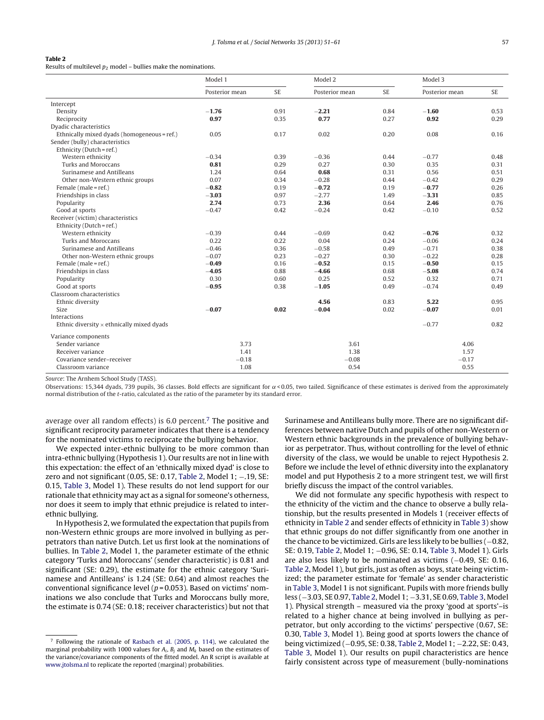#### <span id="page-6-0"></span>**Table 2**

Results of multilevel  $p_2$  model – bullies make the nominations.

| <b>SE</b><br><b>SE</b><br><b>SE</b><br>Posterior mean<br>Posterior mean<br>Posterior mean<br>Intercept<br>$-1.60$<br>$-1.76$<br>0.91<br>$-2.21$<br>0.84<br>0.53<br>Density<br>0.77<br>0.27<br>0.92<br>0.97<br>0.35<br>0.29<br>Reciprocity<br>Dyadic characteristics<br>Ethnically mixed dyads (homogeneous = ref.)<br>0.05<br>0.17<br>0.02<br>0.20<br>0.08<br>0.16<br>Sender (bully) characteristics<br>Ethnicity (Dutch = ref.)<br>Western ethnicity<br>$-0.34$<br>0.39<br>$-0.36$<br>0.44<br>$-0.77$<br>0.48<br><b>Turks and Moroccans</b><br>0.81<br>0.29<br>0.27<br>0.30<br>0.35<br>0.31<br>Surinamese and Antilleans<br>0.68<br>1.24<br>0.64<br>0.31<br>0.56<br>0.51<br>0.07<br>0.34<br>$-0.28$<br>0.44<br>$-0.42$<br>0.29<br>Other non-Western ethnic groups<br>$-0.82$<br>$-0.72$<br>$-0.77$<br>Female $(male = ref.)$<br>0.19<br>0.19<br>0.26<br>Friendships in class<br>$-3.03$<br>0.97<br>$-2.77$<br>$-3.31$<br>0.85<br>1.49<br>2.74<br>2.36<br>0.64<br>2.46<br>0.76<br>Popularity<br>0.73<br>$-0.47$<br>0.42<br>$-0.24$<br>0.42<br>$-0.10$<br>0.52<br>Good at sports<br>Receiver (victim) characteristics<br>Ethnicity (Dutch = ref.)<br>Western ethnicity<br>$-0.76$<br>$-0.39$<br>0.44<br>$-0.69$<br>0.42<br>0.32<br><b>Turks and Moroccans</b><br>0.22<br>0.22<br>0.04<br>0.24<br>$-0.06$<br>0.24<br>$-0.71$<br>Surinamese and Antilleans<br>$-0.46$<br>0.36<br>$-0.58$<br>0.49<br>0.38<br>$-0.22$<br>$-0.07$<br>0.23<br>$-0.27$<br>0.30<br>0.28<br>Other non-Western ethnic groups<br>Female $(male = ref.)$<br>$-0.49$<br>0.16<br>$-0.52$<br>0.15<br>$-0.50$<br>0.15<br>Friendships in class<br>$-4.05$<br>0.88<br>$-4.66$<br>0.68<br>$-5.08$<br>0.74<br>0.30<br>0.60<br>0.25<br>0.32<br>Popularity<br>0.52<br>0.71<br>0.38<br>$-0.74$<br>Good at sports<br>$-0.95$<br>$-1.05$<br>0.49<br>0.49<br>Classroom characteristics<br>5.22<br>4.56<br>0.83<br>0.95<br>Ethnic diversity<br>Size<br>0.02<br>$-0.04$<br>$-0.07$<br>$-0.07$<br>0.02<br>0.01<br>Interactions<br>Ethnic diversity $\times$ ethnically mixed dyads<br>$-0.77$<br>0.82<br>Variance components<br>Sender variance<br>3.73<br>3.61<br>4.06<br>Receiver variance<br>1.41<br>1.38<br>1.57<br>$-0.18$<br>$-0.08$<br>$-0.17$<br>Covariance sender-receiver<br>Classroom variance<br>1.08<br>0.54<br>0.55 | Model 1 |  | Model 2 |  | Model 3 |  |  |
|-------------------------------------------------------------------------------------------------------------------------------------------------------------------------------------------------------------------------------------------------------------------------------------------------------------------------------------------------------------------------------------------------------------------------------------------------------------------------------------------------------------------------------------------------------------------------------------------------------------------------------------------------------------------------------------------------------------------------------------------------------------------------------------------------------------------------------------------------------------------------------------------------------------------------------------------------------------------------------------------------------------------------------------------------------------------------------------------------------------------------------------------------------------------------------------------------------------------------------------------------------------------------------------------------------------------------------------------------------------------------------------------------------------------------------------------------------------------------------------------------------------------------------------------------------------------------------------------------------------------------------------------------------------------------------------------------------------------------------------------------------------------------------------------------------------------------------------------------------------------------------------------------------------------------------------------------------------------------------------------------------------------------------------------------------------------------------------------------------------------------------------------------------------------------------------------------------------------------------------------------------------------------------------|---------|--|---------|--|---------|--|--|
|                                                                                                                                                                                                                                                                                                                                                                                                                                                                                                                                                                                                                                                                                                                                                                                                                                                                                                                                                                                                                                                                                                                                                                                                                                                                                                                                                                                                                                                                                                                                                                                                                                                                                                                                                                                                                                                                                                                                                                                                                                                                                                                                                                                                                                                                                     |         |  |         |  |         |  |  |
|                                                                                                                                                                                                                                                                                                                                                                                                                                                                                                                                                                                                                                                                                                                                                                                                                                                                                                                                                                                                                                                                                                                                                                                                                                                                                                                                                                                                                                                                                                                                                                                                                                                                                                                                                                                                                                                                                                                                                                                                                                                                                                                                                                                                                                                                                     |         |  |         |  |         |  |  |
|                                                                                                                                                                                                                                                                                                                                                                                                                                                                                                                                                                                                                                                                                                                                                                                                                                                                                                                                                                                                                                                                                                                                                                                                                                                                                                                                                                                                                                                                                                                                                                                                                                                                                                                                                                                                                                                                                                                                                                                                                                                                                                                                                                                                                                                                                     |         |  |         |  |         |  |  |
|                                                                                                                                                                                                                                                                                                                                                                                                                                                                                                                                                                                                                                                                                                                                                                                                                                                                                                                                                                                                                                                                                                                                                                                                                                                                                                                                                                                                                                                                                                                                                                                                                                                                                                                                                                                                                                                                                                                                                                                                                                                                                                                                                                                                                                                                                     |         |  |         |  |         |  |  |
|                                                                                                                                                                                                                                                                                                                                                                                                                                                                                                                                                                                                                                                                                                                                                                                                                                                                                                                                                                                                                                                                                                                                                                                                                                                                                                                                                                                                                                                                                                                                                                                                                                                                                                                                                                                                                                                                                                                                                                                                                                                                                                                                                                                                                                                                                     |         |  |         |  |         |  |  |
|                                                                                                                                                                                                                                                                                                                                                                                                                                                                                                                                                                                                                                                                                                                                                                                                                                                                                                                                                                                                                                                                                                                                                                                                                                                                                                                                                                                                                                                                                                                                                                                                                                                                                                                                                                                                                                                                                                                                                                                                                                                                                                                                                                                                                                                                                     |         |  |         |  |         |  |  |
|                                                                                                                                                                                                                                                                                                                                                                                                                                                                                                                                                                                                                                                                                                                                                                                                                                                                                                                                                                                                                                                                                                                                                                                                                                                                                                                                                                                                                                                                                                                                                                                                                                                                                                                                                                                                                                                                                                                                                                                                                                                                                                                                                                                                                                                                                     |         |  |         |  |         |  |  |
|                                                                                                                                                                                                                                                                                                                                                                                                                                                                                                                                                                                                                                                                                                                                                                                                                                                                                                                                                                                                                                                                                                                                                                                                                                                                                                                                                                                                                                                                                                                                                                                                                                                                                                                                                                                                                                                                                                                                                                                                                                                                                                                                                                                                                                                                                     |         |  |         |  |         |  |  |
|                                                                                                                                                                                                                                                                                                                                                                                                                                                                                                                                                                                                                                                                                                                                                                                                                                                                                                                                                                                                                                                                                                                                                                                                                                                                                                                                                                                                                                                                                                                                                                                                                                                                                                                                                                                                                                                                                                                                                                                                                                                                                                                                                                                                                                                                                     |         |  |         |  |         |  |  |
|                                                                                                                                                                                                                                                                                                                                                                                                                                                                                                                                                                                                                                                                                                                                                                                                                                                                                                                                                                                                                                                                                                                                                                                                                                                                                                                                                                                                                                                                                                                                                                                                                                                                                                                                                                                                                                                                                                                                                                                                                                                                                                                                                                                                                                                                                     |         |  |         |  |         |  |  |
|                                                                                                                                                                                                                                                                                                                                                                                                                                                                                                                                                                                                                                                                                                                                                                                                                                                                                                                                                                                                                                                                                                                                                                                                                                                                                                                                                                                                                                                                                                                                                                                                                                                                                                                                                                                                                                                                                                                                                                                                                                                                                                                                                                                                                                                                                     |         |  |         |  |         |  |  |
|                                                                                                                                                                                                                                                                                                                                                                                                                                                                                                                                                                                                                                                                                                                                                                                                                                                                                                                                                                                                                                                                                                                                                                                                                                                                                                                                                                                                                                                                                                                                                                                                                                                                                                                                                                                                                                                                                                                                                                                                                                                                                                                                                                                                                                                                                     |         |  |         |  |         |  |  |
|                                                                                                                                                                                                                                                                                                                                                                                                                                                                                                                                                                                                                                                                                                                                                                                                                                                                                                                                                                                                                                                                                                                                                                                                                                                                                                                                                                                                                                                                                                                                                                                                                                                                                                                                                                                                                                                                                                                                                                                                                                                                                                                                                                                                                                                                                     |         |  |         |  |         |  |  |
|                                                                                                                                                                                                                                                                                                                                                                                                                                                                                                                                                                                                                                                                                                                                                                                                                                                                                                                                                                                                                                                                                                                                                                                                                                                                                                                                                                                                                                                                                                                                                                                                                                                                                                                                                                                                                                                                                                                                                                                                                                                                                                                                                                                                                                                                                     |         |  |         |  |         |  |  |
|                                                                                                                                                                                                                                                                                                                                                                                                                                                                                                                                                                                                                                                                                                                                                                                                                                                                                                                                                                                                                                                                                                                                                                                                                                                                                                                                                                                                                                                                                                                                                                                                                                                                                                                                                                                                                                                                                                                                                                                                                                                                                                                                                                                                                                                                                     |         |  |         |  |         |  |  |
|                                                                                                                                                                                                                                                                                                                                                                                                                                                                                                                                                                                                                                                                                                                                                                                                                                                                                                                                                                                                                                                                                                                                                                                                                                                                                                                                                                                                                                                                                                                                                                                                                                                                                                                                                                                                                                                                                                                                                                                                                                                                                                                                                                                                                                                                                     |         |  |         |  |         |  |  |
|                                                                                                                                                                                                                                                                                                                                                                                                                                                                                                                                                                                                                                                                                                                                                                                                                                                                                                                                                                                                                                                                                                                                                                                                                                                                                                                                                                                                                                                                                                                                                                                                                                                                                                                                                                                                                                                                                                                                                                                                                                                                                                                                                                                                                                                                                     |         |  |         |  |         |  |  |
|                                                                                                                                                                                                                                                                                                                                                                                                                                                                                                                                                                                                                                                                                                                                                                                                                                                                                                                                                                                                                                                                                                                                                                                                                                                                                                                                                                                                                                                                                                                                                                                                                                                                                                                                                                                                                                                                                                                                                                                                                                                                                                                                                                                                                                                                                     |         |  |         |  |         |  |  |
|                                                                                                                                                                                                                                                                                                                                                                                                                                                                                                                                                                                                                                                                                                                                                                                                                                                                                                                                                                                                                                                                                                                                                                                                                                                                                                                                                                                                                                                                                                                                                                                                                                                                                                                                                                                                                                                                                                                                                                                                                                                                                                                                                                                                                                                                                     |         |  |         |  |         |  |  |
|                                                                                                                                                                                                                                                                                                                                                                                                                                                                                                                                                                                                                                                                                                                                                                                                                                                                                                                                                                                                                                                                                                                                                                                                                                                                                                                                                                                                                                                                                                                                                                                                                                                                                                                                                                                                                                                                                                                                                                                                                                                                                                                                                                                                                                                                                     |         |  |         |  |         |  |  |
|                                                                                                                                                                                                                                                                                                                                                                                                                                                                                                                                                                                                                                                                                                                                                                                                                                                                                                                                                                                                                                                                                                                                                                                                                                                                                                                                                                                                                                                                                                                                                                                                                                                                                                                                                                                                                                                                                                                                                                                                                                                                                                                                                                                                                                                                                     |         |  |         |  |         |  |  |
|                                                                                                                                                                                                                                                                                                                                                                                                                                                                                                                                                                                                                                                                                                                                                                                                                                                                                                                                                                                                                                                                                                                                                                                                                                                                                                                                                                                                                                                                                                                                                                                                                                                                                                                                                                                                                                                                                                                                                                                                                                                                                                                                                                                                                                                                                     |         |  |         |  |         |  |  |
|                                                                                                                                                                                                                                                                                                                                                                                                                                                                                                                                                                                                                                                                                                                                                                                                                                                                                                                                                                                                                                                                                                                                                                                                                                                                                                                                                                                                                                                                                                                                                                                                                                                                                                                                                                                                                                                                                                                                                                                                                                                                                                                                                                                                                                                                                     |         |  |         |  |         |  |  |
|                                                                                                                                                                                                                                                                                                                                                                                                                                                                                                                                                                                                                                                                                                                                                                                                                                                                                                                                                                                                                                                                                                                                                                                                                                                                                                                                                                                                                                                                                                                                                                                                                                                                                                                                                                                                                                                                                                                                                                                                                                                                                                                                                                                                                                                                                     |         |  |         |  |         |  |  |
|                                                                                                                                                                                                                                                                                                                                                                                                                                                                                                                                                                                                                                                                                                                                                                                                                                                                                                                                                                                                                                                                                                                                                                                                                                                                                                                                                                                                                                                                                                                                                                                                                                                                                                                                                                                                                                                                                                                                                                                                                                                                                                                                                                                                                                                                                     |         |  |         |  |         |  |  |
|                                                                                                                                                                                                                                                                                                                                                                                                                                                                                                                                                                                                                                                                                                                                                                                                                                                                                                                                                                                                                                                                                                                                                                                                                                                                                                                                                                                                                                                                                                                                                                                                                                                                                                                                                                                                                                                                                                                                                                                                                                                                                                                                                                                                                                                                                     |         |  |         |  |         |  |  |
|                                                                                                                                                                                                                                                                                                                                                                                                                                                                                                                                                                                                                                                                                                                                                                                                                                                                                                                                                                                                                                                                                                                                                                                                                                                                                                                                                                                                                                                                                                                                                                                                                                                                                                                                                                                                                                                                                                                                                                                                                                                                                                                                                                                                                                                                                     |         |  |         |  |         |  |  |
|                                                                                                                                                                                                                                                                                                                                                                                                                                                                                                                                                                                                                                                                                                                                                                                                                                                                                                                                                                                                                                                                                                                                                                                                                                                                                                                                                                                                                                                                                                                                                                                                                                                                                                                                                                                                                                                                                                                                                                                                                                                                                                                                                                                                                                                                                     |         |  |         |  |         |  |  |
|                                                                                                                                                                                                                                                                                                                                                                                                                                                                                                                                                                                                                                                                                                                                                                                                                                                                                                                                                                                                                                                                                                                                                                                                                                                                                                                                                                                                                                                                                                                                                                                                                                                                                                                                                                                                                                                                                                                                                                                                                                                                                                                                                                                                                                                                                     |         |  |         |  |         |  |  |
|                                                                                                                                                                                                                                                                                                                                                                                                                                                                                                                                                                                                                                                                                                                                                                                                                                                                                                                                                                                                                                                                                                                                                                                                                                                                                                                                                                                                                                                                                                                                                                                                                                                                                                                                                                                                                                                                                                                                                                                                                                                                                                                                                                                                                                                                                     |         |  |         |  |         |  |  |
|                                                                                                                                                                                                                                                                                                                                                                                                                                                                                                                                                                                                                                                                                                                                                                                                                                                                                                                                                                                                                                                                                                                                                                                                                                                                                                                                                                                                                                                                                                                                                                                                                                                                                                                                                                                                                                                                                                                                                                                                                                                                                                                                                                                                                                                                                     |         |  |         |  |         |  |  |
|                                                                                                                                                                                                                                                                                                                                                                                                                                                                                                                                                                                                                                                                                                                                                                                                                                                                                                                                                                                                                                                                                                                                                                                                                                                                                                                                                                                                                                                                                                                                                                                                                                                                                                                                                                                                                                                                                                                                                                                                                                                                                                                                                                                                                                                                                     |         |  |         |  |         |  |  |
|                                                                                                                                                                                                                                                                                                                                                                                                                                                                                                                                                                                                                                                                                                                                                                                                                                                                                                                                                                                                                                                                                                                                                                                                                                                                                                                                                                                                                                                                                                                                                                                                                                                                                                                                                                                                                                                                                                                                                                                                                                                                                                                                                                                                                                                                                     |         |  |         |  |         |  |  |
|                                                                                                                                                                                                                                                                                                                                                                                                                                                                                                                                                                                                                                                                                                                                                                                                                                                                                                                                                                                                                                                                                                                                                                                                                                                                                                                                                                                                                                                                                                                                                                                                                                                                                                                                                                                                                                                                                                                                                                                                                                                                                                                                                                                                                                                                                     |         |  |         |  |         |  |  |
|                                                                                                                                                                                                                                                                                                                                                                                                                                                                                                                                                                                                                                                                                                                                                                                                                                                                                                                                                                                                                                                                                                                                                                                                                                                                                                                                                                                                                                                                                                                                                                                                                                                                                                                                                                                                                                                                                                                                                                                                                                                                                                                                                                                                                                                                                     |         |  |         |  |         |  |  |
|                                                                                                                                                                                                                                                                                                                                                                                                                                                                                                                                                                                                                                                                                                                                                                                                                                                                                                                                                                                                                                                                                                                                                                                                                                                                                                                                                                                                                                                                                                                                                                                                                                                                                                                                                                                                                                                                                                                                                                                                                                                                                                                                                                                                                                                                                     |         |  |         |  |         |  |  |

Source: The Arnhem School Study (TASS).

Observations: 15,344 dyads, 739 pupils, 36 classes. Bold effects are significant for  $\alpha$  < 0.05, two tailed. Significance of these estimates is derived from the approximately normal distribution of the t-ratio, calculated as the ratio of the parameter by its standard error.

average over all random effects) is 6.0 percent.7 The positive and significant reciprocity parameter indicates that there is a tendency for the nominated victims to reciprocate the bullying behavior.

We expected inter-ethnic bullying to be more common than intra-ethnic bullying (Hypothesis 1). Our results are not in line with this expectation: the effect of an 'ethnically mixed dyad' is close to zero and not significant (0.05, SE: 0.17, Table 2, Model 1; −.19, SE: 0.15, [Table](#page-7-0) 3, Model 1). These results do not lend support for our rationale that ethnicity may act as a signal for someone's otherness, nor does it seem to imply that ethnic prejudice is related to interethnic bullying.

In Hypothesis 2, we formulated the expectation that pupils from non-Western ethnic groups are more involved in bullying as perpetrators than native Dutch. Let us first look at the nominations of bullies. In Table 2, Model 1, the parameter estimate of the ethnic category 'Turks and Moroccans' (sender characteristic) is 0.81 and significant (SE: 0.29), the estimate for the ethnic category 'Surinamese and Antilleans' is 1.24 (SE: 0.64) and almost reaches the conventional significance level ( $p = 0.053$ ). Based on victims' nominations we also conclude that Turks and Moroccans bully more, the estimate is 0.74 (SE: 0.18; receiver characteristics) but not that

Surinamese and Antilleans bully more. There are no significant differences between native Dutch and pupils of other non-Western or Western ethnic backgrounds in the prevalence of bullying behavior as perpetrator. Thus, without controlling for the level of ethnic diversity of the class, we would be unable to reject Hypothesis 2. Before we include the level of ethnic diversity into the explanatory model and put Hypothesis 2 to a more stringent test, we will first briefly discuss the impact of the control variables.

We did not formulate any specific hypothesis with respect to the ethnicity of the victim and the chance to observe a bully relationship, but the results presented in Models 1 (receiver effects of ethnicity in Table 2 and sender effects of ethnicity in [Table](#page-7-0) 3) show that ethnic groups do not differ significantly from one another in the chance to be victimized. Girls are less likely to be bullies (−0.82, SE: 0.19, Table 2, Model 1; −0.96, SE: 0.14, [Table](#page-7-0) 3, Model 1). Girls are also less likely to be nominated as victims (−0.49, SE: 0.16, Table 2, Model 1), but girls, just as often as boys, state being victimized; the parameter estimate for 'female' as sender characteristic in [Table](#page-7-0) 3, Model 1 is not significant. Pupils with more friends bully less (−3.03, SE 0.97, Table 2, Model 1; −3.31, SE 0.69, [Table](#page-7-0) 3, Model 1). Physical strength – measured via the proxy 'good at sports'–is related to a higher chance at being involved in bullying as perpetrator, but only according to the victims' perspective (0.67, SE: 0.30, [Table](#page-7-0) 3, Model 1). Being good at sports lowers the chance of being victimized (−0.95, SE: 0.38, Table 2, Model 1; −2.22, SE: 0.43, [Table](#page-7-0) 3, Model 1). Our results on pupil characteristics are hence fairly consistent across type of measurement (bully-nominations

<sup>7</sup> Following the rationale of [Rasbach](#page-10-0) et [al.](#page-10-0) [\(2005,](#page-10-0) [p.](#page-10-0) [114\),](#page-10-0) we calculated the marginal probability with 1000 values for  $A_i$ ,  $B_i$  and  $M_k$  based on the estimates of the variance/covariance components of the fitted model. An R script is available at [www.jtolsma.nl](http://www.jtolsma.nl/) to replicate the reported (marginal) probabilities.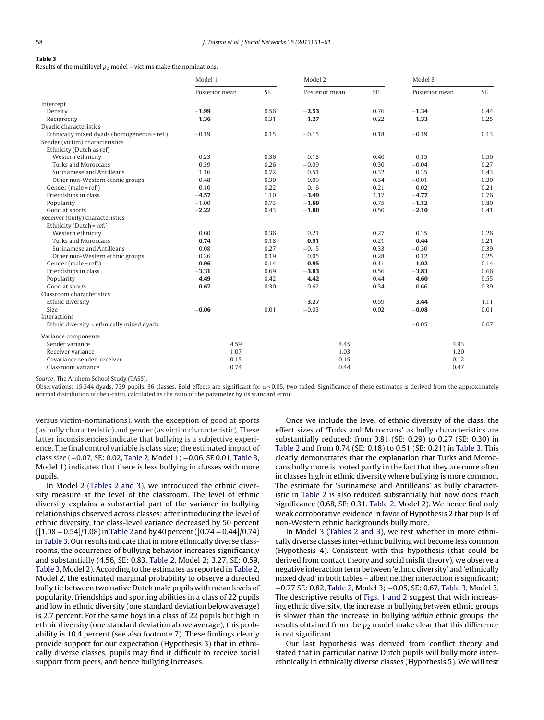# <span id="page-7-0"></span>**Table 3**

Results of the multilevel  $p_2$  model – victims make the nominations.

| <b>SE</b><br><b>SE</b><br><b>SE</b><br>Posterior mean<br>Posterior mean<br>Posterior mean<br>Intercept<br>$-1.99$<br>0.56<br>$-2.53$<br>0.76<br>$-1.34$<br>Density<br>0.44<br>Reciprocity<br>1.36<br>0.31<br>1.27<br>0.22<br>1.33<br>0.25<br>Dyadic characteristics<br>Ethnically mixed dyads (homogeneous = ref.)<br>$-0.15$<br>$-0.19$<br>0.13<br>$-0.19$<br>0.15<br>0.18<br>Sender (victim) characteristics<br>Ethnicity (Dutch as ref)<br>Western ethnicity<br>0.23<br>0.36<br>0.18<br>0.40<br>0.15<br>0.50<br><b>Turks and Moroccans</b><br>0.39<br>0.26<br>$-0.09$<br>0.30<br>$-0.04$<br>0.27<br>0.72<br>0.32<br>0.35<br>Surinamese and Antilleans<br>1.16<br>0.51<br>0.43<br>0.48<br>0.30<br>0.34<br>$-0.01$<br>0.30<br>Other non-Western ethnic groups<br>0.09<br>0.02<br>Gender (male = ref.)<br>0.10<br>0.22<br>0.16<br>0.21<br>0.21<br>Friendships in class<br>$-4.57$<br>1.10<br>$-3.49$<br>1.17<br>$-4.77$<br>0.76<br>0.73<br>$-1.00$<br>$-1.69$<br>0.75<br>$-1.12$<br>0.80<br>Popularity<br>$-2.10$<br>Good at sports<br>$-2.22$<br>0.43<br>$-1.80$<br>0.50<br>0.41<br>Receiver (bully) characteristics<br>Ethnicity (Dutch = ref.)<br>Western ethnicity<br>0.60<br>0.36<br>0.21<br>0.27<br>0.35<br>0.26<br>Turks and Moroccans<br>0.74<br>0.18<br>0.51<br>0.21<br>0.44<br>0.21<br>0.08<br>0.27<br>0.33<br>$-0.30$<br>0.39<br>Surinamese and Antilleans<br>$-0.15$<br>0.05<br>0.12<br>Other non-Western ethnic groups<br>0.26<br>0.19<br>0.28<br>0.25<br>$-1.02$<br>Gender (male = refs)<br>$-0.96$<br>0.14<br>$-0.95$<br>0.11<br>0.14<br>Friendships in class<br>$-3.83$<br>$-3.31$<br>0.69<br>$-3.83$<br>0.56<br>0.66<br>4.49<br>0.42<br>4.42<br>0.44<br>4.60<br>0.55<br>Popularity<br>Good at sports<br>0.67<br>0.30<br>0.62<br>0.34<br>0.66<br>0.39<br>Classroom characteristics<br>3.27<br>0.59<br>3.44<br>Ethnic diversity<br>1.11<br>Size<br>$-0.06$<br>0.01<br>$-0.03$<br>0.02<br>$-0.08$<br>0.01<br>Interactions<br>0.67<br>Ethnic diversity $\times$ ethnically mixed dyads<br>$-0.05$<br>Variance components<br>Sender variance<br>4.45<br>4.93<br>4.59<br>Receiver variance<br>1.07<br>1.03<br>1.20<br>Covariance sender-receiver<br>0.15<br>0.15<br>0.12<br>Classroom variance<br>0.74<br>0.44<br>0.47 | Model 1 |  | Model 2 | Model 3 |  |
|-----------------------------------------------------------------------------------------------------------------------------------------------------------------------------------------------------------------------------------------------------------------------------------------------------------------------------------------------------------------------------------------------------------------------------------------------------------------------------------------------------------------------------------------------------------------------------------------------------------------------------------------------------------------------------------------------------------------------------------------------------------------------------------------------------------------------------------------------------------------------------------------------------------------------------------------------------------------------------------------------------------------------------------------------------------------------------------------------------------------------------------------------------------------------------------------------------------------------------------------------------------------------------------------------------------------------------------------------------------------------------------------------------------------------------------------------------------------------------------------------------------------------------------------------------------------------------------------------------------------------------------------------------------------------------------------------------------------------------------------------------------------------------------------------------------------------------------------------------------------------------------------------------------------------------------------------------------------------------------------------------------------------------------------------------------------------------------------------------------------------------------------------------------------------------------------------------------------------------------|---------|--|---------|---------|--|
|                                                                                                                                                                                                                                                                                                                                                                                                                                                                                                                                                                                                                                                                                                                                                                                                                                                                                                                                                                                                                                                                                                                                                                                                                                                                                                                                                                                                                                                                                                                                                                                                                                                                                                                                                                                                                                                                                                                                                                                                                                                                                                                                                                                                                                   |         |  |         |         |  |
|                                                                                                                                                                                                                                                                                                                                                                                                                                                                                                                                                                                                                                                                                                                                                                                                                                                                                                                                                                                                                                                                                                                                                                                                                                                                                                                                                                                                                                                                                                                                                                                                                                                                                                                                                                                                                                                                                                                                                                                                                                                                                                                                                                                                                                   |         |  |         |         |  |
|                                                                                                                                                                                                                                                                                                                                                                                                                                                                                                                                                                                                                                                                                                                                                                                                                                                                                                                                                                                                                                                                                                                                                                                                                                                                                                                                                                                                                                                                                                                                                                                                                                                                                                                                                                                                                                                                                                                                                                                                                                                                                                                                                                                                                                   |         |  |         |         |  |
|                                                                                                                                                                                                                                                                                                                                                                                                                                                                                                                                                                                                                                                                                                                                                                                                                                                                                                                                                                                                                                                                                                                                                                                                                                                                                                                                                                                                                                                                                                                                                                                                                                                                                                                                                                                                                                                                                                                                                                                                                                                                                                                                                                                                                                   |         |  |         |         |  |
|                                                                                                                                                                                                                                                                                                                                                                                                                                                                                                                                                                                                                                                                                                                                                                                                                                                                                                                                                                                                                                                                                                                                                                                                                                                                                                                                                                                                                                                                                                                                                                                                                                                                                                                                                                                                                                                                                                                                                                                                                                                                                                                                                                                                                                   |         |  |         |         |  |
|                                                                                                                                                                                                                                                                                                                                                                                                                                                                                                                                                                                                                                                                                                                                                                                                                                                                                                                                                                                                                                                                                                                                                                                                                                                                                                                                                                                                                                                                                                                                                                                                                                                                                                                                                                                                                                                                                                                                                                                                                                                                                                                                                                                                                                   |         |  |         |         |  |
|                                                                                                                                                                                                                                                                                                                                                                                                                                                                                                                                                                                                                                                                                                                                                                                                                                                                                                                                                                                                                                                                                                                                                                                                                                                                                                                                                                                                                                                                                                                                                                                                                                                                                                                                                                                                                                                                                                                                                                                                                                                                                                                                                                                                                                   |         |  |         |         |  |
|                                                                                                                                                                                                                                                                                                                                                                                                                                                                                                                                                                                                                                                                                                                                                                                                                                                                                                                                                                                                                                                                                                                                                                                                                                                                                                                                                                                                                                                                                                                                                                                                                                                                                                                                                                                                                                                                                                                                                                                                                                                                                                                                                                                                                                   |         |  |         |         |  |
|                                                                                                                                                                                                                                                                                                                                                                                                                                                                                                                                                                                                                                                                                                                                                                                                                                                                                                                                                                                                                                                                                                                                                                                                                                                                                                                                                                                                                                                                                                                                                                                                                                                                                                                                                                                                                                                                                                                                                                                                                                                                                                                                                                                                                                   |         |  |         |         |  |
|                                                                                                                                                                                                                                                                                                                                                                                                                                                                                                                                                                                                                                                                                                                                                                                                                                                                                                                                                                                                                                                                                                                                                                                                                                                                                                                                                                                                                                                                                                                                                                                                                                                                                                                                                                                                                                                                                                                                                                                                                                                                                                                                                                                                                                   |         |  |         |         |  |
|                                                                                                                                                                                                                                                                                                                                                                                                                                                                                                                                                                                                                                                                                                                                                                                                                                                                                                                                                                                                                                                                                                                                                                                                                                                                                                                                                                                                                                                                                                                                                                                                                                                                                                                                                                                                                                                                                                                                                                                                                                                                                                                                                                                                                                   |         |  |         |         |  |
|                                                                                                                                                                                                                                                                                                                                                                                                                                                                                                                                                                                                                                                                                                                                                                                                                                                                                                                                                                                                                                                                                                                                                                                                                                                                                                                                                                                                                                                                                                                                                                                                                                                                                                                                                                                                                                                                                                                                                                                                                                                                                                                                                                                                                                   |         |  |         |         |  |
|                                                                                                                                                                                                                                                                                                                                                                                                                                                                                                                                                                                                                                                                                                                                                                                                                                                                                                                                                                                                                                                                                                                                                                                                                                                                                                                                                                                                                                                                                                                                                                                                                                                                                                                                                                                                                                                                                                                                                                                                                                                                                                                                                                                                                                   |         |  |         |         |  |
|                                                                                                                                                                                                                                                                                                                                                                                                                                                                                                                                                                                                                                                                                                                                                                                                                                                                                                                                                                                                                                                                                                                                                                                                                                                                                                                                                                                                                                                                                                                                                                                                                                                                                                                                                                                                                                                                                                                                                                                                                                                                                                                                                                                                                                   |         |  |         |         |  |
|                                                                                                                                                                                                                                                                                                                                                                                                                                                                                                                                                                                                                                                                                                                                                                                                                                                                                                                                                                                                                                                                                                                                                                                                                                                                                                                                                                                                                                                                                                                                                                                                                                                                                                                                                                                                                                                                                                                                                                                                                                                                                                                                                                                                                                   |         |  |         |         |  |
|                                                                                                                                                                                                                                                                                                                                                                                                                                                                                                                                                                                                                                                                                                                                                                                                                                                                                                                                                                                                                                                                                                                                                                                                                                                                                                                                                                                                                                                                                                                                                                                                                                                                                                                                                                                                                                                                                                                                                                                                                                                                                                                                                                                                                                   |         |  |         |         |  |
|                                                                                                                                                                                                                                                                                                                                                                                                                                                                                                                                                                                                                                                                                                                                                                                                                                                                                                                                                                                                                                                                                                                                                                                                                                                                                                                                                                                                                                                                                                                                                                                                                                                                                                                                                                                                                                                                                                                                                                                                                                                                                                                                                                                                                                   |         |  |         |         |  |
|                                                                                                                                                                                                                                                                                                                                                                                                                                                                                                                                                                                                                                                                                                                                                                                                                                                                                                                                                                                                                                                                                                                                                                                                                                                                                                                                                                                                                                                                                                                                                                                                                                                                                                                                                                                                                                                                                                                                                                                                                                                                                                                                                                                                                                   |         |  |         |         |  |
|                                                                                                                                                                                                                                                                                                                                                                                                                                                                                                                                                                                                                                                                                                                                                                                                                                                                                                                                                                                                                                                                                                                                                                                                                                                                                                                                                                                                                                                                                                                                                                                                                                                                                                                                                                                                                                                                                                                                                                                                                                                                                                                                                                                                                                   |         |  |         |         |  |
|                                                                                                                                                                                                                                                                                                                                                                                                                                                                                                                                                                                                                                                                                                                                                                                                                                                                                                                                                                                                                                                                                                                                                                                                                                                                                                                                                                                                                                                                                                                                                                                                                                                                                                                                                                                                                                                                                                                                                                                                                                                                                                                                                                                                                                   |         |  |         |         |  |
|                                                                                                                                                                                                                                                                                                                                                                                                                                                                                                                                                                                                                                                                                                                                                                                                                                                                                                                                                                                                                                                                                                                                                                                                                                                                                                                                                                                                                                                                                                                                                                                                                                                                                                                                                                                                                                                                                                                                                                                                                                                                                                                                                                                                                                   |         |  |         |         |  |
|                                                                                                                                                                                                                                                                                                                                                                                                                                                                                                                                                                                                                                                                                                                                                                                                                                                                                                                                                                                                                                                                                                                                                                                                                                                                                                                                                                                                                                                                                                                                                                                                                                                                                                                                                                                                                                                                                                                                                                                                                                                                                                                                                                                                                                   |         |  |         |         |  |
|                                                                                                                                                                                                                                                                                                                                                                                                                                                                                                                                                                                                                                                                                                                                                                                                                                                                                                                                                                                                                                                                                                                                                                                                                                                                                                                                                                                                                                                                                                                                                                                                                                                                                                                                                                                                                                                                                                                                                                                                                                                                                                                                                                                                                                   |         |  |         |         |  |
|                                                                                                                                                                                                                                                                                                                                                                                                                                                                                                                                                                                                                                                                                                                                                                                                                                                                                                                                                                                                                                                                                                                                                                                                                                                                                                                                                                                                                                                                                                                                                                                                                                                                                                                                                                                                                                                                                                                                                                                                                                                                                                                                                                                                                                   |         |  |         |         |  |
|                                                                                                                                                                                                                                                                                                                                                                                                                                                                                                                                                                                                                                                                                                                                                                                                                                                                                                                                                                                                                                                                                                                                                                                                                                                                                                                                                                                                                                                                                                                                                                                                                                                                                                                                                                                                                                                                                                                                                                                                                                                                                                                                                                                                                                   |         |  |         |         |  |
|                                                                                                                                                                                                                                                                                                                                                                                                                                                                                                                                                                                                                                                                                                                                                                                                                                                                                                                                                                                                                                                                                                                                                                                                                                                                                                                                                                                                                                                                                                                                                                                                                                                                                                                                                                                                                                                                                                                                                                                                                                                                                                                                                                                                                                   |         |  |         |         |  |
|                                                                                                                                                                                                                                                                                                                                                                                                                                                                                                                                                                                                                                                                                                                                                                                                                                                                                                                                                                                                                                                                                                                                                                                                                                                                                                                                                                                                                                                                                                                                                                                                                                                                                                                                                                                                                                                                                                                                                                                                                                                                                                                                                                                                                                   |         |  |         |         |  |
|                                                                                                                                                                                                                                                                                                                                                                                                                                                                                                                                                                                                                                                                                                                                                                                                                                                                                                                                                                                                                                                                                                                                                                                                                                                                                                                                                                                                                                                                                                                                                                                                                                                                                                                                                                                                                                                                                                                                                                                                                                                                                                                                                                                                                                   |         |  |         |         |  |
|                                                                                                                                                                                                                                                                                                                                                                                                                                                                                                                                                                                                                                                                                                                                                                                                                                                                                                                                                                                                                                                                                                                                                                                                                                                                                                                                                                                                                                                                                                                                                                                                                                                                                                                                                                                                                                                                                                                                                                                                                                                                                                                                                                                                                                   |         |  |         |         |  |
|                                                                                                                                                                                                                                                                                                                                                                                                                                                                                                                                                                                                                                                                                                                                                                                                                                                                                                                                                                                                                                                                                                                                                                                                                                                                                                                                                                                                                                                                                                                                                                                                                                                                                                                                                                                                                                                                                                                                                                                                                                                                                                                                                                                                                                   |         |  |         |         |  |
|                                                                                                                                                                                                                                                                                                                                                                                                                                                                                                                                                                                                                                                                                                                                                                                                                                                                                                                                                                                                                                                                                                                                                                                                                                                                                                                                                                                                                                                                                                                                                                                                                                                                                                                                                                                                                                                                                                                                                                                                                                                                                                                                                                                                                                   |         |  |         |         |  |
|                                                                                                                                                                                                                                                                                                                                                                                                                                                                                                                                                                                                                                                                                                                                                                                                                                                                                                                                                                                                                                                                                                                                                                                                                                                                                                                                                                                                                                                                                                                                                                                                                                                                                                                                                                                                                                                                                                                                                                                                                                                                                                                                                                                                                                   |         |  |         |         |  |
|                                                                                                                                                                                                                                                                                                                                                                                                                                                                                                                                                                                                                                                                                                                                                                                                                                                                                                                                                                                                                                                                                                                                                                                                                                                                                                                                                                                                                                                                                                                                                                                                                                                                                                                                                                                                                                                                                                                                                                                                                                                                                                                                                                                                                                   |         |  |         |         |  |
|                                                                                                                                                                                                                                                                                                                                                                                                                                                                                                                                                                                                                                                                                                                                                                                                                                                                                                                                                                                                                                                                                                                                                                                                                                                                                                                                                                                                                                                                                                                                                                                                                                                                                                                                                                                                                                                                                                                                                                                                                                                                                                                                                                                                                                   |         |  |         |         |  |
|                                                                                                                                                                                                                                                                                                                                                                                                                                                                                                                                                                                                                                                                                                                                                                                                                                                                                                                                                                                                                                                                                                                                                                                                                                                                                                                                                                                                                                                                                                                                                                                                                                                                                                                                                                                                                                                                                                                                                                                                                                                                                                                                                                                                                                   |         |  |         |         |  |
|                                                                                                                                                                                                                                                                                                                                                                                                                                                                                                                                                                                                                                                                                                                                                                                                                                                                                                                                                                                                                                                                                                                                                                                                                                                                                                                                                                                                                                                                                                                                                                                                                                                                                                                                                                                                                                                                                                                                                                                                                                                                                                                                                                                                                                   |         |  |         |         |  |

Source: The Arnhem School Study (TASS).

Observations: 15,344 dyads, 739 pupils, 36 classes. Bold effects are significant for  $\alpha$  < 0.05, two tailed. Significance of these estimates is derived from the approximately normal distribution of the t-ratio, calculated as the ratio of the parameter by its standard error.

versus victim-nominations), with the exception of good at sports (as bully characteristic) and gender (as victim characteristic). These latter inconsistencies indicate that bullying is a subjective experience. The final control variable is class size; the estimated impact of class size (−0.07, SE: 0.02, [Table](#page-6-0) 2, Model 1; −0.06, SE 0.01, Table 3, Model 1) indicates that there is less bullying in classes with more pupils.

In Model 2 ([Tables](#page-6-0) 2 and 3), we introduced the ethnic diversity measure at the level of the classroom. The level of ethnic diversity explains a substantial part of the variance in bullying relationships observed across classes; after introducing the level of ethnic diversity, the class-level variance decreased by 50 percent ([1.08 − 0.54]/1.08)in [Table](#page-6-0) 2 and by 40 percent([0.74 − 0.44]/0.74) in Table 3. Our results indicate that in more ethnically diverse classrooms, the occurrence of bullying behavior increases significantly and substantially (4.56, SE: 0.83, [Table](#page-6-0) 2, Model 2; 3.27, SE: 0.59, Table 3, Model 2). According to the estimates as reported in [Table](#page-6-0) 2, Model 2, the estimated marginal probability to observe a directed bully tie between two native Dutch male pupils with mean levels of popularity, friendships and sporting abilities in a class of 22 pupils and low in ethnic diversity (one standard deviation below average) is 2.7 percent. For the same boys in a class of 22 pupils but high in ethnic diversity (one standard deviation above average), this probability is 10.4 percent (see also footnote 7). These findings clearly provide support for our expectation (Hypothesis 3) that in ethnically diverse classes, pupils may find it difficult to receive social support from peers, and hence bullying increases.

Once we include the level of ethnic diversity of the class, the effect sizes of 'Turks and Moroccans' as bully characteristics are substantially reduced: from 0.81 (SE: 0.29) to 0.27 (SE: 0.30) in [Table](#page-6-0) 2 and from 0.74 (SE: 0.18) to 0.51 (SE: 0.21) in Table 3. This clearly demonstrates that the explanation that Turks and Moroccans bully more is rooted partly in the fact that they are more often in classes high in ethnic diversity where bullying is more common. The estimate for 'Surinamese and Antilleans' as bully characteristic in [Table](#page-6-0) 2 is also reduced substantially but now does reach significance (0.68, SE: 0.31. [Table](#page-6-0) 2, Model 2). We hence find only weak corroborative evidence in favor of Hypothesis 2 that pupils of non-Western ethnic backgrounds bully more.

In Model 3 [\(Tables](#page-6-0) 2 and 3), we test whether in more ethnically diverse classes inter-ethnic bullying will become less common (Hypothesis 4). Consistent with this hypothesis (that could be derived from contact theory and social misfit theory), we observe a negative interaction term between 'ethnic diversity' and 'ethnically mixed dyad' in both tables – albeit neither interaction is significant; −0.77 SE: 0.82, [Table](#page-6-0) 2, Model 3; −0.05, SE: 0.67, Table 3, Model 3. The descriptive results of [Figs.](#page-5-0) 1 and 2 suggest that with increasing ethnic diversity, the increase in bullying between ethnic groups is slower than the increase in bullying within ethnic groups, the results obtained from the  $p_2$  model make clear that this difference is not significant.

Our last hypothesis was derived from conflict theory and stated that in particular native Dutch pupils will bully more interethnically in ethnically diverse classes (Hypothesis 5). We will test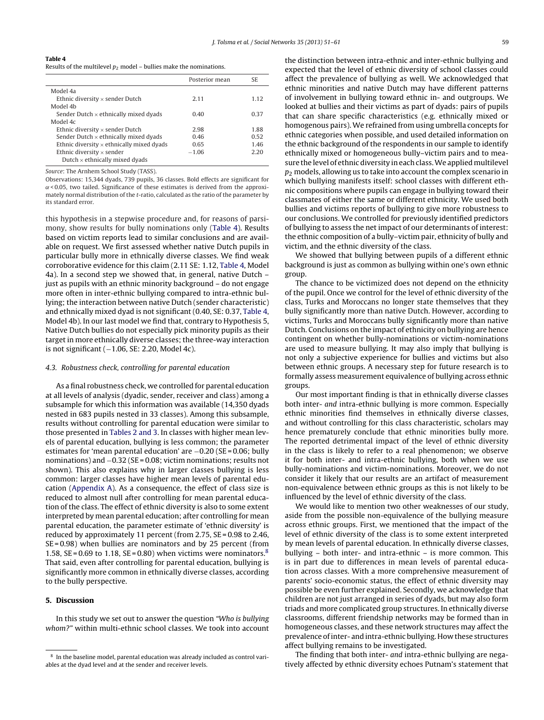**Table 4**

Results of the multilevel  $p_2$  model – bullies make the nominations.

|                                                  | Posterior mean | SE.  |
|--------------------------------------------------|----------------|------|
| Model 4a                                         |                |      |
| Ethnic diversity $\times$ sender Dutch           | 2.11           | 1.12 |
| Model 4b                                         |                |      |
| Sender Dutch $\times$ ethnically mixed dyads     | 0.40           | 0.37 |
| Model 4c                                         |                |      |
| Ethnic diversity $\times$ sender Dutch           | 2.98           | 1.88 |
| Sender Dutch $\times$ ethnically mixed dyads     | 0.46           | 0.52 |
| Ethnic diversity $\times$ ethnically mixed dyads | 0.65           | 1.46 |
| Ethnic diversity $\times$ sender                 | $-1.06$        | 2.20 |
| Dutch $\times$ ethnically mixed dyads            |                |      |

Source: The Arnhem School Study (TASS).

Observations: 15,344 dyads, 739 pupils, 36 classes. Bold effects are significant for  $\alpha$  < 0.05, two tailed. Significance of these estimates is derived from the approximately normal distribution of the t-ratio, calculated as the ratio of the parameter by its standard error.

this hypothesis in a stepwise procedure and, for reasons of parsimony, show results for bully nominations only (Table 4). Results based on victim reports lead to similar conclusions and are available on request. We first assessed whether native Dutch pupils in particular bully more in ethnically diverse classes. We find weak corroborative evidence for this claim (2.11 SE: 1.12, Table 4, Model 4a). In a second step we showed that, in general, native Dutch – just as pupils with an ethnic minority background – do not engage more often in inter-ethnic bullying compared to intra-ethnic bullying; the interaction between native Dutch (sender characteristic) and ethnically mixed dyad is not significant (0.40, SE: 0.37, Table 4, Model 4b). In our last model we find that, contrary to Hypothesis 5, Native Dutch bullies do not especially pick minority pupils as their target in more ethnically diverse classes; the three-way interaction is not significant (−1.06, SE: 2.20, Model 4c).

#### 4.3. Robustness check, controlling for parental education

As a final robustness check, we controlled for parental education at all levels of analysis (dyadic, sender, receiver and class) among a subsample for which this information was available (14,350 dyads nested in 683 pupils nested in 33 classes). Among this subsample, results without controlling for parental education were similar to those presented in [Tables](#page-6-0) 2 and 3. In classes with higher mean levels of parental education, bullying is less common; the parameter estimates for 'mean parental education' are −0.20 (SE = 0.06; bully nominations) and −0.32 (SE = 0.08; victim nominations; results not shown). This also explains why in larger classes bullying is less common: larger classes have higher mean levels of parental education [\(Appendix](#page-9-0) [A\).](#page-9-0) As a consequence, the effect of class size is reduced to almost null after controlling for mean parental education of the class. The effect of ethnic diversity is also to some extent interpreted by mean parental education; after controlling for mean parental education, the parameter estimate of 'ethnic diversity' is reduced by approximately 11 percent (from 2.75, SE = 0.98 to 2.46, SE = 0.98) when bullies are nominators and by 25 percent (from 1.58, SE = 0.69 to 1.18, SE = 0.80) when victims were nominators.<sup>8</sup> That said, even after controlling for parental education, bullying is significantly more common in ethnically diverse classes, according to the bully perspective.

# **5. Discussion**

In this study we set out to answer the question "Who is bullying whom?" within multi-ethnic school classes. We took into account the distinction between intra-ethnic and inter-ethnic bullying and expected that the level of ethnic diversity of school classes could affect the prevalence of bullying as well. We acknowledged that ethnic minorities and native Dutch may have different patterns of involvement in bullying toward ethnic in- and outgroups. We looked at bullies and their victims as part of dyads: pairs of pupils that can share specific characteristics (e.g. ethnically mixed or homogenous pairs). We refrained from using umbrella concepts for ethnic categories when possible, and used detailed information on the ethnic background of the respondents in our sample to identify ethnically mixed or homogeneous bully–victim pairs and to measure the level of ethnic diversity in each class. We applied multilevel  $p_2$  models, allowing us to take into account the complex scenario in which bullying manifests itself: school classes with different ethnic compositions where pupils can engage in bullying toward their classmates of either the same or different ethnicity. We used both bullies and victims reports of bullying to give more robustness to our conclusions. We controlled for previously identified predictors of bullying to assess the net impact of our determinants of interest: the ethnic composition of a bully–victim pair, ethnicity of bully and victim, and the ethnic diversity of the class.

We showed that bullying between pupils of a different ethnic background is just as common as bullying within one's own ethnic group.

The chance to be victimized does not depend on the ethnicity of the pupil. Once we control for the level of ethnic diversity of the class, Turks and Moroccans no longer state themselves that they bully significantly more than native Dutch. However, according to victims, Turks and Moroccans bully significantly more than native Dutch. Conclusions on the impact of ethnicity on bullying are hence contingent on whether bully-nominations or victim-nominations are used to measure bullying. It may also imply that bullying is not only a subjective experience for bullies and victims but also between ethnic groups. A necessary step for future research is to formally assess measurement equivalence of bullying across ethnic groups.

Our most important finding is that in ethnically diverse classes both inter- and intra-ethnic bullying is more common. Especially ethnic minorities find themselves in ethnically diverse classes, and without controlling for this class characteristic, scholars may hence prematurely conclude that ethnic minorities bully more. The reported detrimental impact of the level of ethnic diversity in the class is likely to refer to a real phenomenon; we observe it for both inter- and intra-ethnic bullying, both when we use bully-nominations and victim-nominations. Moreover, we do not consider it likely that our results are an artifact of measurement non-equivalence between ethnic groups as this is not likely to be influenced by the level of ethnic diversity of the class.

We would like to mention two other weaknesses of our study, aside from the possible non-equivalence of the bullying measure across ethnic groups. First, we mentioned that the impact of the level of ethnic diversity of the class is to some extent interpreted by mean levels of parental education. In ethnically diverse classes, bullying – both inter- and intra-ethnic – is more common. This is in part due to differences in mean levels of parental education across classes. With a more comprehensive measurement of parents' socio-economic status, the effect of ethnic diversity may possible be even further explained. Secondly, we acknowledge that children are not just arranged in series of dyads, but may also form triads and more complicated group structures. In ethnically diverse classrooms, different friendship networks may be formed than in homogeneous classes, and these network structures may affect the prevalence ofinter- and intra-ethnic bullying. How these structures affect bullying remains to be investigated.

The finding that both inter- and intra-ethnic bullying are negatively affected by ethnic diversity echoes Putnam's statement that

 $^8\,$  In the baseline model, parental education was already included as control variables at the dyad level and at the sender and receiver levels.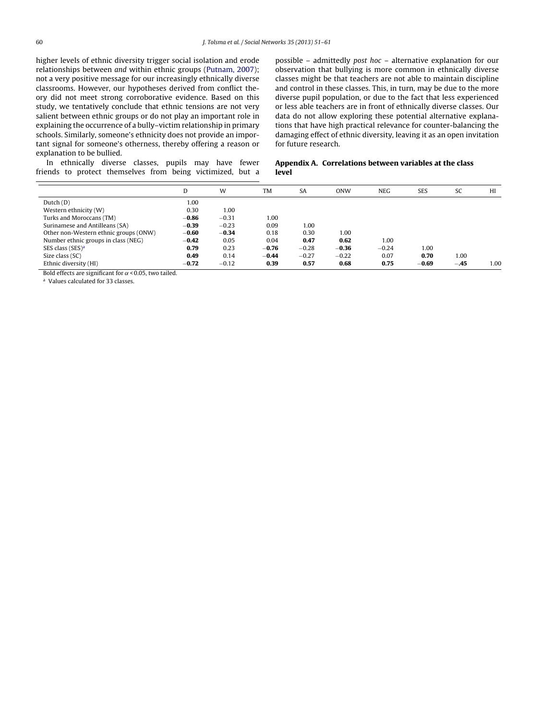<span id="page-9-0"></span>higher levels of ethnic diversity trigger social isolation and erode relationships between and within ethnic groups ([Putnam,](#page-10-0) [2007\);](#page-10-0) not a very positive message for our increasingly ethnically diverse classrooms. However, our hypotheses derived from conflict theory did not meet strong corroborative evidence. Based on this study, we tentatively conclude that ethnic tensions are not very salient between ethnic groups or do not play an important role in explaining the occurrence of a bully–victim relationship in primary schools. Similarly, someone's ethnicity does not provide an important signal for someone's otherness, thereby offering a reason or explanation to be bullied.

In ethnically diverse classes, pupils may have fewer friends to protect themselves from being victimized, but a possible – admittedly post hoc – alternative explanation for our observation that bullying is more common in ethnically diverse classes might be that teachers are not able to maintain discipline and control in these classes. This, in turn, may be due to the more diverse pupil population, or due to the fact that less experienced or less able teachers are in front of ethnically diverse classes. Our data do not allow exploring these potential alternative explanations that have high practical relevance for counter-balancing the damaging effect of ethnic diversity, leaving it as an open invitation for future research.

# **Appendix A. Correlations between variables at the class level**

|                                       | D       | W       | TM      | <b>SA</b> | <b>ONW</b> | <b>NEG</b> | <b>SES</b> | SC     | HI   |
|---------------------------------------|---------|---------|---------|-----------|------------|------------|------------|--------|------|
| Dutch(D)                              | 1.00    |         |         |           |            |            |            |        |      |
| Western ethnicity (W)                 | 0.30    | 1.00    |         |           |            |            |            |        |      |
| Turks and Moroccans (TM)              | $-0.86$ | $-0.31$ | 1.00    |           |            |            |            |        |      |
| Surinamese and Antilleans (SA)        | $-0.39$ | $-0.23$ | 0.09    | 1.00      |            |            |            |        |      |
| Other non-Western ethnic groups (ONW) | $-0.60$ | $-0.34$ | 0.18    | 0.30      | 1.00       |            |            |        |      |
| Number ethnic groups in class (NEG)   | $-0.42$ | 0.05    | 0.04    | 0.47      | 0.62       | 1.00       |            |        |      |
| SES class (SES) <sup>a</sup>          | 0.79    | 0.23    | $-0.76$ | $-0.28$   | $-0.36$    | $-0.24$    | 1.00       |        |      |
| Size class (SC)                       | 0.49    | 0.14    | $-0.44$ | $-0.27$   | $-0.22$    | 0.07       | 0.70       | 1.00   |      |
| Ethnic diversity (HI)                 | $-0.72$ | $-0.12$ | 0.39    | 0.57      | 0.68       | 0.75       | $-0.69$    | $-.45$ | 1.00 |

Bold effects are significant for  $\alpha$  < 0.05, two tailed.

<sup>a</sup> Values calculated for 33 classes.